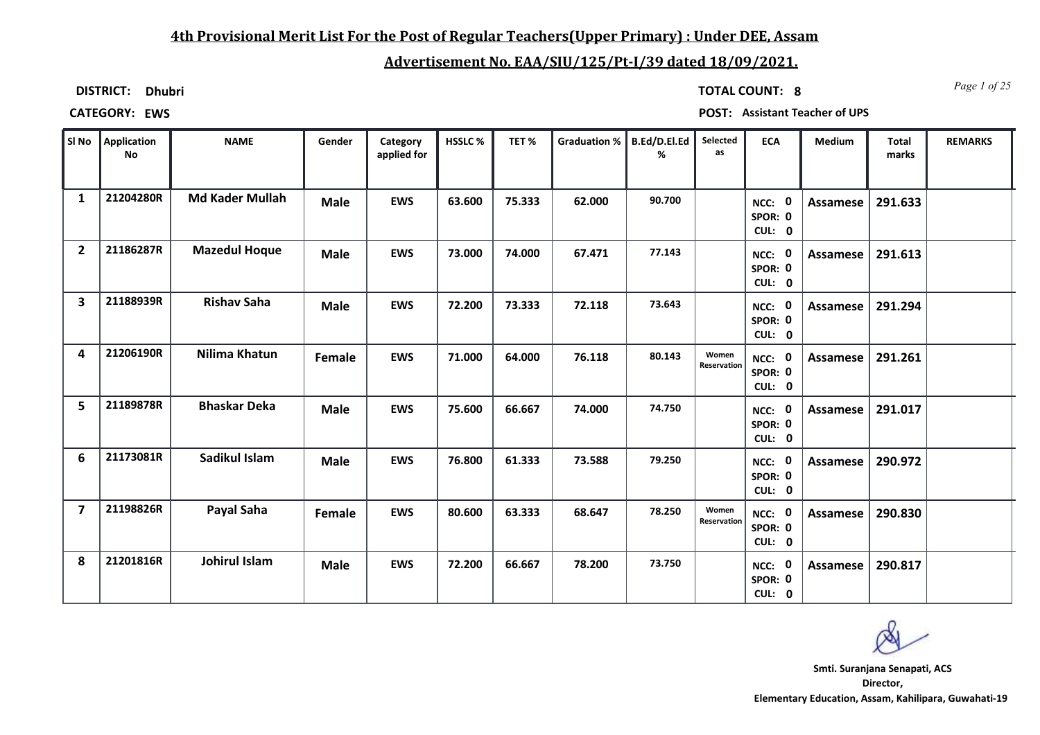### **4th Provisional Merit List For the Post of Regular Teachers(Upper Primary) : Under DEE, Assam**

### **Advertisement No. EAA/SIU/125/Pt-I/39 dated 18/09/2021.**

**DISTRICT: Dhubri**

*Page 1 of 25* **TOTAL COUNT: 8**

**CATEGORY: EWS POST: Assistant Teacher of UPS**

| SI No                   | Application<br><b>No</b> | <b>NAME</b>            | Gender      | Category<br>applied for | HSSLC% | TET%   | Graduation % | B.Ed/D.El.Ed<br>℅ | Selected<br>as       | <b>ECA</b>                  | <b>Medium</b> | <b>Total</b><br>marks | <b>REMARKS</b> |
|-------------------------|--------------------------|------------------------|-------------|-------------------------|--------|--------|--------------|-------------------|----------------------|-----------------------------|---------------|-----------------------|----------------|
| $\mathbf{1}$            | 21204280R                | <b>Md Kader Mullah</b> | <b>Male</b> | <b>EWS</b>              | 63.600 | 75.333 | 62.000       | 90.700            |                      | NCC: 0<br>SPOR: 0<br>CUL: 0 | Assamese      | 291.633               |                |
| $\overline{2}$          | 21186287R                | <b>Mazedul Hoque</b>   | <b>Male</b> | <b>EWS</b>              | 73.000 | 74.000 | 67.471       | 77.143            |                      | NCC: 0<br>SPOR: 0<br>CUL: 0 | Assamese      | 291.613               |                |
| $\overline{\mathbf{3}}$ | 21188939R                | <b>Rishav Saha</b>     | <b>Male</b> | <b>EWS</b>              | 72.200 | 73.333 | 72.118       | 73.643            |                      | NCC: 0<br>SPOR: 0<br>CUL: 0 | Assamese      | 291.294               |                |
| 4                       | 21206190R                | Nilima Khatun          | Female      | <b>EWS</b>              | 71.000 | 64.000 | 76.118       | 80.143            | Women<br>Reservation | NCC: 0<br>SPOR: 0<br>CUL: 0 | Assamese      | 291.261               |                |
| 5                       | 21189878R                | <b>Bhaskar Deka</b>    | <b>Male</b> | <b>EWS</b>              | 75.600 | 66.667 | 74.000       | 74.750            |                      | NCC: 0<br>SPOR: 0<br>CUL: 0 | Assamese      | 291.017               |                |
| 6                       | 21173081R                | Sadikul Islam          | <b>Male</b> | <b>EWS</b>              | 76.800 | 61.333 | 73.588       | 79.250            |                      | NCC: 0<br>SPOR: 0<br>CUL: 0 | Assamese      | 290.972               |                |
| $\overline{7}$          | 21198826R                | Payal Saha             | Female      | <b>EWS</b>              | 80.600 | 63.333 | 68.647       | 78.250            | Women<br>Reservation | NCC: 0<br>SPOR: 0<br>CUL: 0 | Assamese      | 290.830               |                |
| 8                       | 21201816R                | Johirul Islam          | <b>Male</b> | <b>EWS</b>              | 72.200 | 66.667 | 78.200       | 73.750            |                      | NCC: 0<br>SPOR: 0<br>CUL: 0 | Assamese      | 290.817               |                |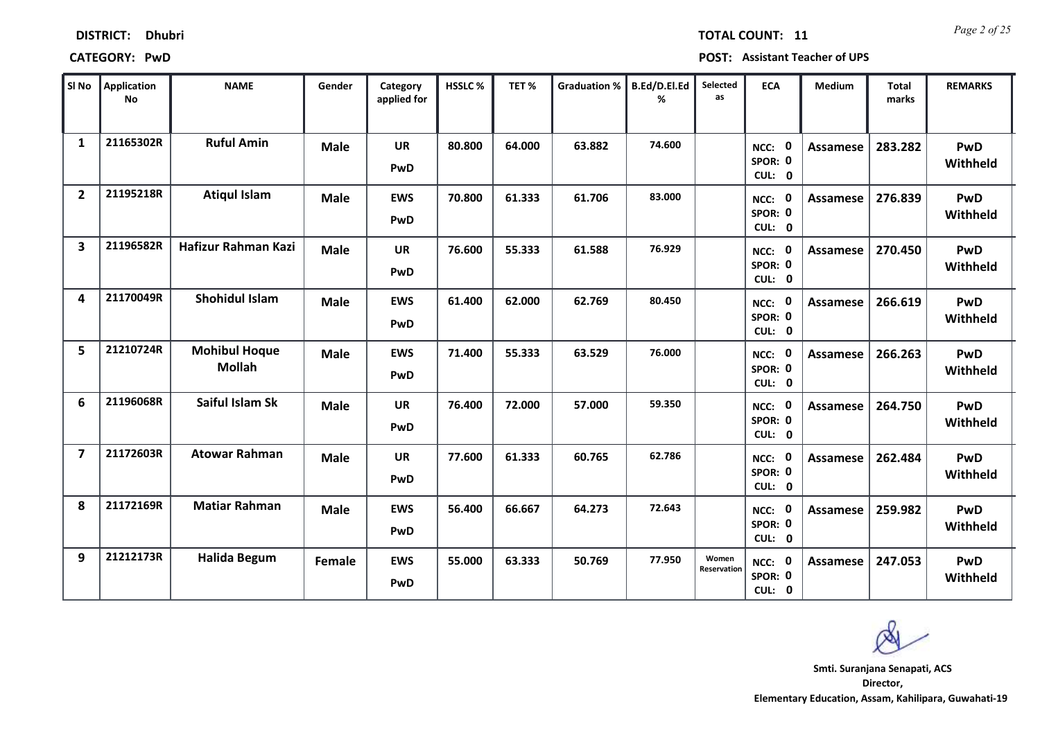| SI No                   | Application<br><b>No</b> | <b>NAME</b>                           | Gender      | Category<br>applied for | <b>HSSLC%</b> | TET%   | <b>Graduation %</b> | B.Ed/D.El.Ed<br>% | Selected<br>as       | <b>ECA</b>                         | Medium          | <b>Total</b><br>marks | <b>REMARKS</b>  |
|-------------------------|--------------------------|---------------------------------------|-------------|-------------------------|---------------|--------|---------------------|-------------------|----------------------|------------------------------------|-----------------|-----------------------|-----------------|
| $\mathbf{1}$            | 21165302R                | <b>Ruful Amin</b>                     | <b>Male</b> | <b>UR</b><br>PwD        | 80.800        | 64.000 | 63.882              | 74.600            |                      | NCC: 0<br>SPOR: 0<br>CUL: 0        | Assamese        | 283.282               | PwD<br>Withheld |
| $\overline{2}$          | 21195218R                | <b>Atiqul Islam</b>                   | <b>Male</b> | <b>EWS</b><br>PwD       | 70.800        | 61.333 | 61.706              | 83.000            |                      | NCC: 0<br>SPOR: 0<br>CUL: 0        | Assamese        | 276.839               | PwD<br>Withheld |
| $\overline{\mathbf{3}}$ | 21196582R                | Hafizur Rahman Kazi                   | <b>Male</b> | <b>UR</b><br>PwD        | 76.600        | 55.333 | 61.588              | 76.929            |                      | NCC: 0<br>SPOR: 0<br>CUL: 0        | <b>Assamese</b> | 270.450               | PwD<br>Withheld |
| 4                       | 21170049R                | <b>Shohidul Islam</b>                 | <b>Male</b> | <b>EWS</b><br>PwD       | 61.400        | 62.000 | 62.769              | 80.450            |                      | NCC: 0<br>SPOR: 0<br>CUL: 0        | <b>Assamese</b> | 266.619               | PwD<br>Withheld |
| 5                       | 21210724R                | <b>Mohibul Hoque</b><br><b>Mollah</b> | <b>Male</b> | <b>EWS</b><br>PwD       | 71.400        | 55.333 | 63.529              | 76.000            |                      | NCC: 0<br>SPOR: 0<br>CUL: 0        | Assamese        | 266.263               | PwD<br>Withheld |
| 6                       | 21196068R                | Saiful Islam Sk                       | <b>Male</b> | <b>UR</b><br>PwD        | 76.400        | 72.000 | 57.000              | 59.350            |                      | NCC: 0<br>SPOR: 0<br>CUL: 0        | Assamese        | 264.750               | PwD<br>Withheld |
| $\overline{\mathbf{z}}$ | 21172603R                | <b>Atowar Rahman</b>                  | <b>Male</b> | <b>UR</b><br>PwD        | 77.600        | 61.333 | 60.765              | 62.786            |                      | NCC: 0<br>SPOR: 0<br>CUL: 0        | Assamese        | 262.484               | PwD<br>Withheld |
| 8                       | 21172169R                | <b>Matiar Rahman</b>                  | <b>Male</b> | <b>EWS</b><br>PwD       | 56.400        | 66.667 | 64.273              | 72.643            |                      | NCC: 0<br>SPOR: 0<br>CUL: 0        | Assamese        | 259.982               | PwD<br>Withheld |
| 9                       | 21212173R                | <b>Halida Begum</b>                   | Female      | <b>EWS</b><br>PwD       | 55.000        | 63.333 | 50.769              | 77.950            | Women<br>Reservation | <b>NCC: 0</b><br>SPOR: 0<br>CUL: 0 | <b>Assamese</b> | 247.053               | PwD<br>Withheld |

**CATEGORY: PwD POST: Assistant Teacher of UPS**

**Director, Elementary Education, Assam, Kahilipara, Guwahati-19 Smti. Suranjana Senapati, ACS**

### *Page 2 of 25* **TOTAL COUNT: 11**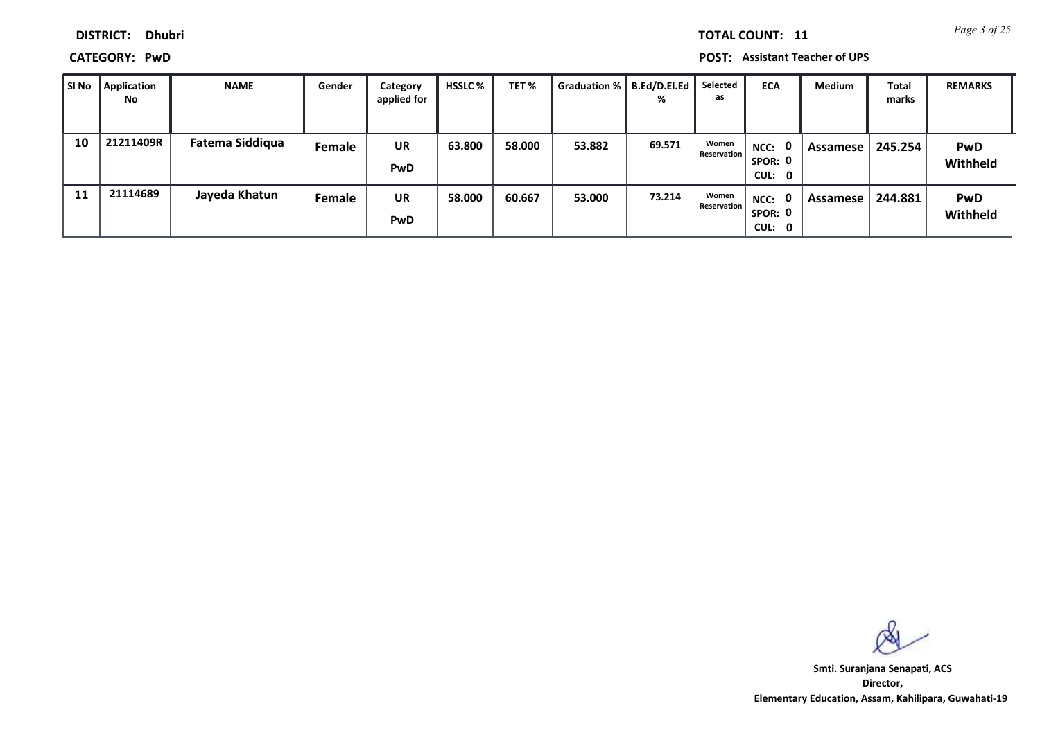**CATEGORY: PwD POST: Assistant Teacher of UPS**

| SI No | <b>Application</b><br>No | <b>NAME</b>            | Gender | Category<br>applied for | <b>HSSLC</b> % | TET %  | <b>Graduation %</b> | B.Ed/D.El.Ed<br>% | Selected<br>as       | <b>ECA</b>                                | <b>Medium</b> | <b>Total</b><br>marks | <b>REMARKS</b>         |
|-------|--------------------------|------------------------|--------|-------------------------|----------------|--------|---------------------|-------------------|----------------------|-------------------------------------------|---------------|-----------------------|------------------------|
| 10    | 21211409R                | <b>Fatema Siddiqua</b> | Female | <b>UR</b><br>PwD        | 63.800         | 58.000 | 53.882              | 69.571            | Women<br>Reservation | 0<br>NCC:<br>SPOR: 0<br>CUL: 0            | Assamese      | 245.254               | <b>PwD</b><br>Withheld |
| 11    | 21114689                 | Jayeda Khatun          | Female | <b>UR</b><br>PwD        | 58.000         | 60.667 | 53.000              | 73.214            | Women<br>Reservation | $\mathbf{0}$<br>NCC:<br>SPOR: 0<br>CUL: 0 | Assamese      | 244.881               | <b>PwD</b><br>Withheld |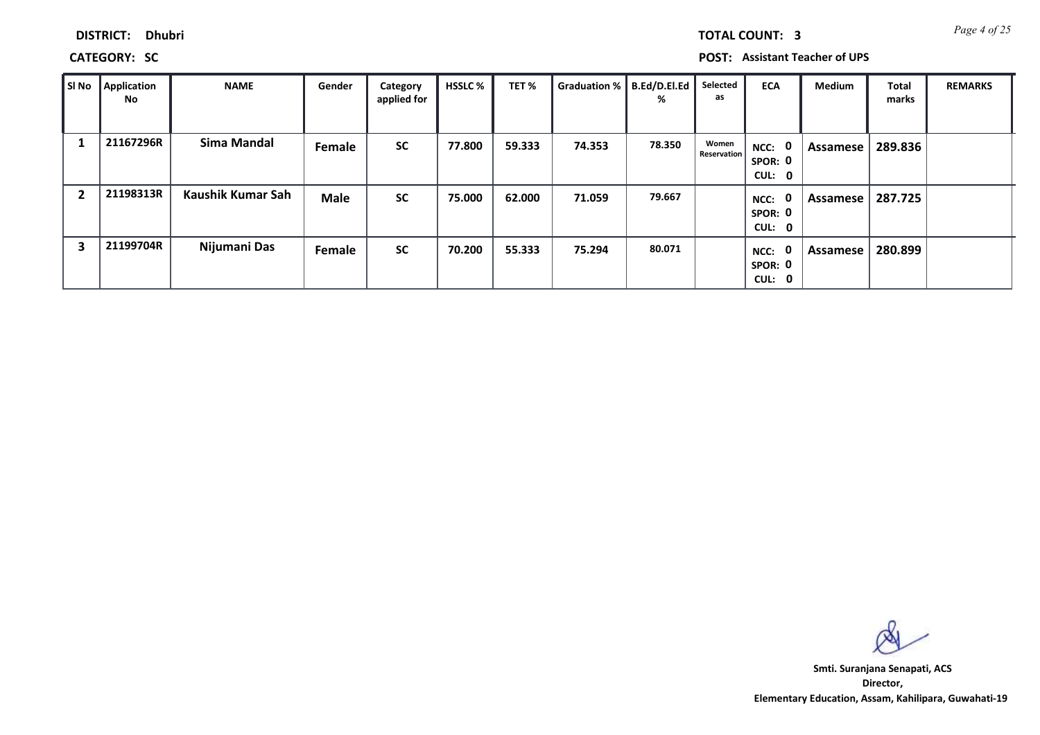*Page 4 of 25* **TOTAL COUNT: 3**

**CATEGORY: SC POST: Assistant Teacher of UPS**

| SI No          | <b>Application</b><br>No | <b>NAME</b>       | Gender        | Category<br>applied for | <b>HSSLC</b> % | TET%   | Graduation % | B.Ed/D.El.Ed<br>% | Selected<br>as       | <b>ECA</b>                                | Medium   | <b>Total</b><br>marks | <b>REMARKS</b> |
|----------------|--------------------------|-------------------|---------------|-------------------------|----------------|--------|--------------|-------------------|----------------------|-------------------------------------------|----------|-----------------------|----------------|
| 1              | 21167296R                | Sima Mandal       | Female        | <b>SC</b>               | 77.800         | 59.333 | 74.353       | 78.350            | Women<br>Reservation | NCC: 0<br>SPOR: 0<br>CUL: 0               | Assamese | 289.836               |                |
| $\overline{2}$ | 21198313R                | Kaushik Kumar Sah | <b>Male</b>   | <b>SC</b>               | 75.000         | 62.000 | 71.059       | 79.667            |                      | $\mathbf{0}$<br>NCC:<br>SPOR: 0<br>CUL: 0 | Assamese | 287.725               |                |
| 3              | 21199704R                | Nijumani Das      | <b>Female</b> | <b>SC</b>               | 70.200         | 55.333 | 75.294       | 80.071            |                      | 0<br>NCC:<br>SPOR: 0<br>CUL: 0            | Assamese | 280.899               |                |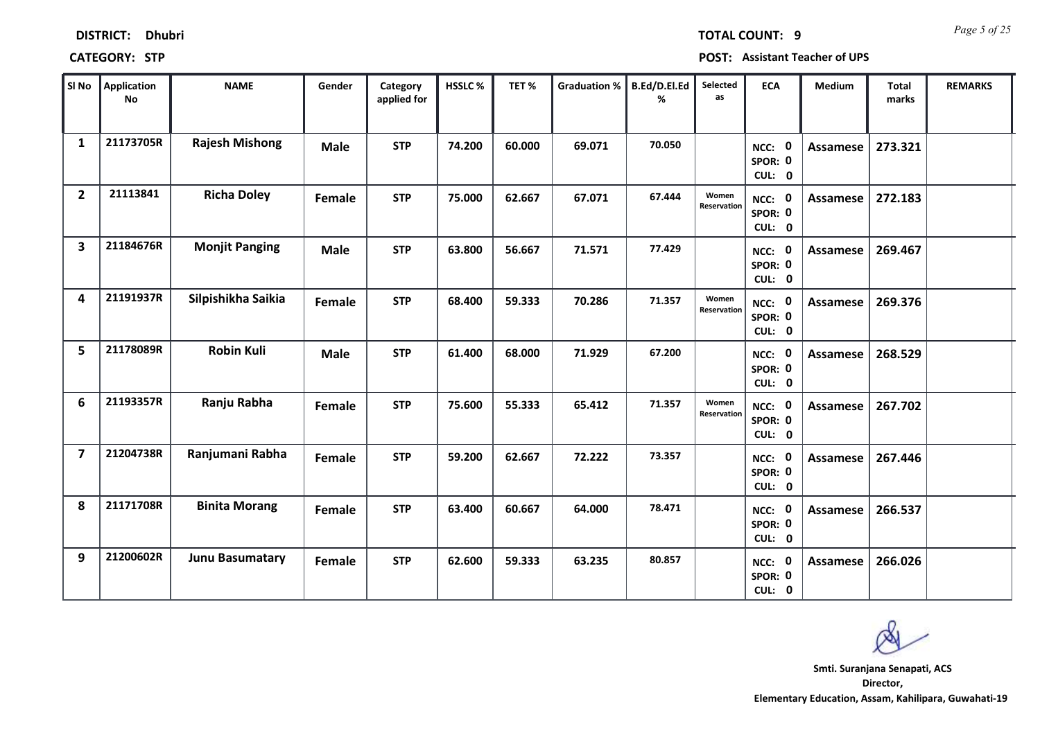| SI No                   | <b>Application</b><br>No | <b>NAME</b>            | Gender      | Category<br>applied for | HSSLC% | TET%   | <b>Graduation %</b> | B.Ed/D.El.Ed<br>% | Selected<br>as       | <b>ECA</b>                               | Medium          | <b>Total</b><br>marks | <b>REMARKS</b> |
|-------------------------|--------------------------|------------------------|-------------|-------------------------|--------|--------|---------------------|-------------------|----------------------|------------------------------------------|-----------------|-----------------------|----------------|
| $\mathbf{1}$            | 21173705R                | <b>Rajesh Mishong</b>  | <b>Male</b> | <b>STP</b>              | 74.200 | 60.000 | 69.071              | 70.050            |                      | NCC: 0<br>SPOR: 0<br>CUL: 0              | <b>Assamese</b> | 273.321               |                |
| $\overline{2}$          | 21113841                 | <b>Richa Doley</b>     | Female      | <b>STP</b>              | 75.000 | 62.667 | 67.071              | 67.444            | Women<br>Reservation | NCC: 0<br>SPOR: 0<br>CUL: 0              | Assamese        | 272.183               |                |
| $\overline{\mathbf{3}}$ | 21184676R                | <b>Monjit Panging</b>  | <b>Male</b> | <b>STP</b>              | 63.800 | 56.667 | 71.571              | 77.429            |                      | NCC: 0<br>SPOR: 0<br>CUL: 0              | <b>Assamese</b> | 269.467               |                |
| 4                       | 21191937R                | Silpishikha Saikia     | Female      | <b>STP</b>              | 68.400 | 59.333 | 70.286              | 71.357            | Women<br>Reservation | NCC: 0<br>SPOR: 0<br>CUL: 0              | <b>Assamese</b> | 269.376               |                |
| 5                       | 21178089R                | <b>Robin Kuli</b>      | <b>Male</b> | <b>STP</b>              | 61.400 | 68.000 | 71.929              | 67.200            |                      | NCC: 0<br>SPOR: 0<br>CUL: 0              | <b>Assamese</b> | 268.529               |                |
| 6                       | 21193357R                | Ranju Rabha            | Female      | <b>STP</b>              | 75.600 | 55.333 | 65.412              | 71.357            | Women<br>Reservation | NCC: 0<br>SPOR: 0<br>CUL: 0              | <b>Assamese</b> | 267.702               |                |
| $\overline{7}$          | 21204738R                | Ranjumani Rabha        | Female      | <b>STP</b>              | 59.200 | 62.667 | 72.222              | 73.357            |                      | NCC: 0<br>SPOR: 0<br>CUL: 0              | Assamese        | 267.446               |                |
| 8                       | 21171708R                | <b>Binita Morang</b>   | Female      | <b>STP</b>              | 63.400 | 60.667 | 64.000              | 78.471            |                      | <b>NCC: 0</b><br>SPOR: 0<br>CUL: 0       | Assamese        | 266.537               |                |
| 9                       | 21200602R                | <b>Junu Basumatary</b> | Female      | <b>STP</b>              | 62.600 | 59.333 | 63.235              | 80.857            |                      | $\mathbf 0$<br>NCC:<br>SPOR: 0<br>CUL: 0 | <b>Assamese</b> | 266.026               |                |

### **CATEGORY: STP POST: Assistant Teacher of UPS**

*Page 5 of 25* **TOTAL COUNT: 9**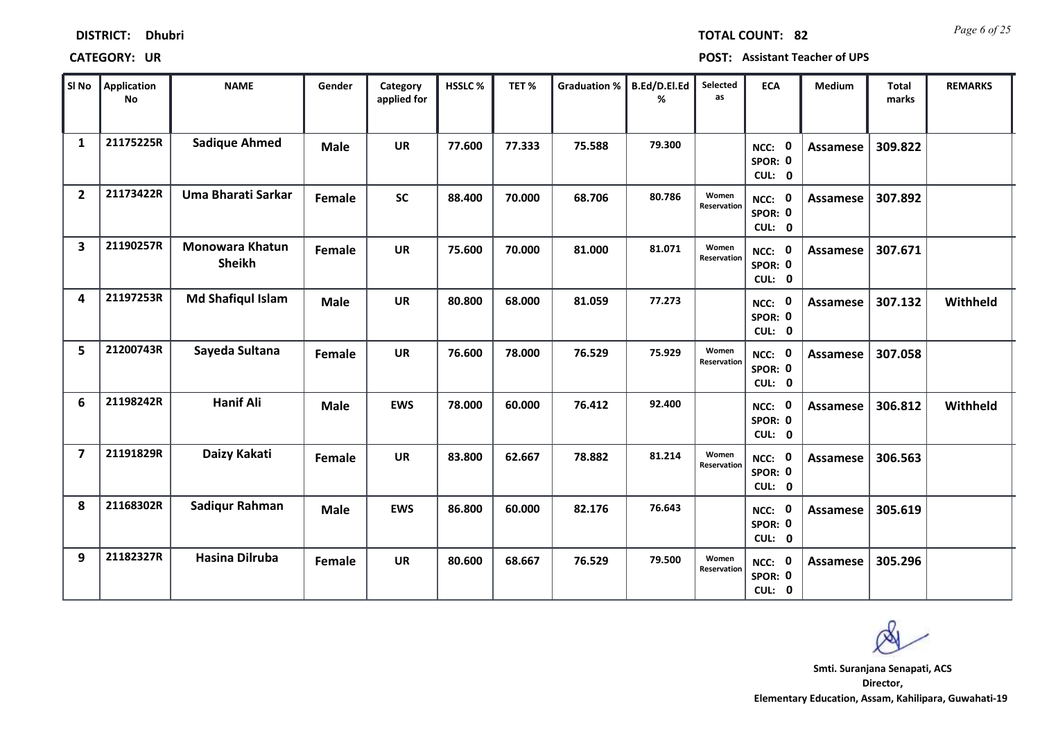| SI No                   | Application<br><b>No</b> | <b>NAME</b>                             | Gender      | Category<br>applied for | HSSLC% | TET%   | <b>Graduation %</b> | B.Ed/D.El.Ed<br>% | Selected<br>as       | <b>ECA</b>                         | Medium          | <b>Total</b><br>marks | <b>REMARKS</b> |
|-------------------------|--------------------------|-----------------------------------------|-------------|-------------------------|--------|--------|---------------------|-------------------|----------------------|------------------------------------|-----------------|-----------------------|----------------|
| $\mathbf{1}$            | 21175225R                | <b>Sadique Ahmed</b>                    | <b>Male</b> | <b>UR</b>               | 77.600 | 77.333 | 75.588              | 79.300            |                      | NCC: 0<br>SPOR: 0<br>CUL: 0        | <b>Assamese</b> | 309.822               |                |
| $\overline{2}$          | 21173422R                | <b>Uma Bharati Sarkar</b>               | Female      | <b>SC</b>               | 88.400 | 70.000 | 68.706              | 80.786            | Women<br>Reservation | NCC: 0<br>SPOR: 0<br>CUL: 0        | <b>Assamese</b> | 307.892               |                |
| $\overline{\mathbf{3}}$ | 21190257R                | <b>Monowara Khatun</b><br><b>Sheikh</b> | Female      | <b>UR</b>               | 75.600 | 70.000 | 81.000              | 81.071            | Women<br>Reservation | NCC: 0<br>SPOR: 0<br>CUL: 0        | <b>Assamese</b> | 307.671               |                |
| 4                       | 21197253R                | <b>Md Shafiqul Islam</b>                | <b>Male</b> | <b>UR</b>               | 80.800 | 68.000 | 81.059              | 77.273            |                      | 0<br>NCC:<br>SPOR: 0<br>CUL: 0     | <b>Assamese</b> | 307.132               | Withheld       |
| 5                       | 21200743R                | Sayeda Sultana                          | Female      | <b>UR</b>               | 76.600 | 78.000 | 76.529              | 75.929            | Women<br>Reservation | NCC: 0<br>SPOR: 0<br>CUL: 0        | <b>Assamese</b> | 307.058               |                |
| 6                       | 21198242R                | <b>Hanif Ali</b>                        | <b>Male</b> | <b>EWS</b>              | 78.000 | 60.000 | 76.412              | 92.400            |                      | NCC: 0<br>SPOR: 0<br>CUL: 0        | <b>Assamese</b> | 306.812               | Withheld       |
| $\overline{7}$          | 21191829R                | Daizy Kakati                            | Female      | <b>UR</b>               | 83.800 | 62.667 | 78.882              | 81.214            | Women<br>Reservation | NCC: 0<br>SPOR: 0<br>CUL: 0        | Assamese        | 306.563               |                |
| 8                       | 21168302R                | Sadiqur Rahman                          | <b>Male</b> | <b>EWS</b>              | 86.800 | 60.000 | 82.176              | 76.643            |                      | <b>NCC: 0</b><br>SPOR: 0<br>CUL: 0 | <b>Assamese</b> | 305.619               |                |
| 9                       | 21182327R                | <b>Hasina Dilruba</b>                   | Female      | <b>UR</b>               | 80.600 | 68.667 | 76.529              | 79.500            | Women<br>Reservation | <b>NCC: 0</b><br>SPOR: 0<br>CUL: 0 | <b>Assamese</b> | 305.296               |                |

**DISTRICT: Dhubri**

**CATEGORY: UR POST: Assistant Teacher of UPS**

**Director, Smti. Suranjana Senapati, ACS**

*Page 6 of 25* **TOTAL COUNT: 82**

**Elementary Education, Assam, Kahilipara, Guwahati-19**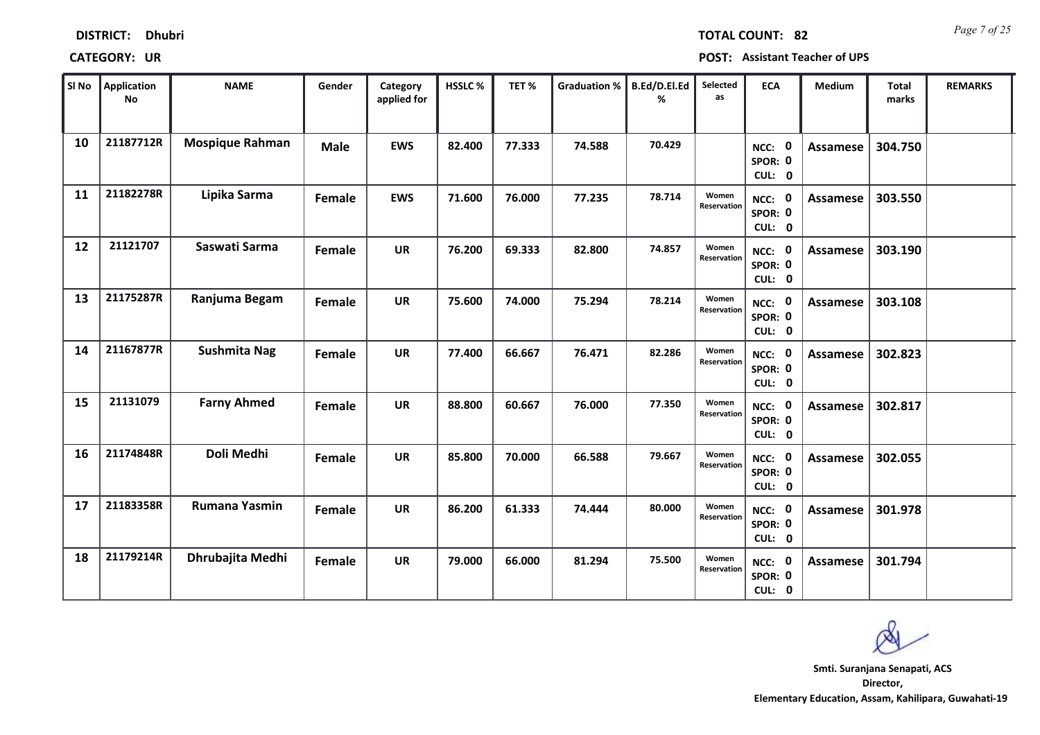| SI No | <b>Application</b><br>No | <b>NAME</b>            | Gender      | Category<br>applied for | HSSLC% | TET%   | <b>Graduation %</b> | B.Ed/D.El.Ed<br>% | Selected<br>as       | <b>ECA</b>                               | Medium          | <b>Total</b><br>marks | <b>REMARKS</b> |
|-------|--------------------------|------------------------|-------------|-------------------------|--------|--------|---------------------|-------------------|----------------------|------------------------------------------|-----------------|-----------------------|----------------|
| 10    | 21187712R                | <b>Mospique Rahman</b> | <b>Male</b> | <b>EWS</b>              | 82.400 | 77.333 | 74.588              | 70.429            |                      | $\mathbf 0$<br>NCC:<br>SPOR: 0<br>CUL: 0 | <b>Assamese</b> | 304.750               |                |
| 11    | 21182278R                | Lipika Sarma           | Female      | <b>EWS</b>              | 71.600 | 76.000 | 77.235              | 78.714            | Women<br>Reservation | NCC: 0<br>SPOR: 0<br>CUL: 0              | Assamese        | 303.550               |                |
| 12    | 21121707                 | Saswati Sarma          | Female      | <b>UR</b>               | 76.200 | 69.333 | 82.800              | 74.857            | Women<br>Reservation | NCC: 0<br>SPOR: 0<br>CUL: 0              | Assamese        | 303.190               |                |
| 13    | 21175287R                | Ranjuma Begam          | Female      | <b>UR</b>               | 75.600 | 74.000 | 75.294              | 78.214            | Women<br>Reservation | $\mathbf 0$<br>NCC:<br>SPOR: 0<br>CUL: 0 | Assamese        | 303.108               |                |
| 14    | 21167877R                | Sushmita Nag           | Female      | <b>UR</b>               | 77.400 | 66.667 | 76.471              | 82.286            | Women<br>Reservation | NCC: 0<br>SPOR: 0<br>CUL: 0              | Assamese        | 302.823               |                |
| 15    | 21131079                 | <b>Farny Ahmed</b>     | Female      | <b>UR</b>               | 88.800 | 60.667 | 76.000              | 77.350            | Women<br>Reservation | NCC: 0<br>SPOR: 0<br>CUL: 0              | Assamese        | 302.817               |                |
| 16    | 21174848R                | Doli Medhi             | Female      | <b>UR</b>               | 85.800 | 70.000 | 66.588              | 79.667            | Women<br>Reservation | NCC: 0<br>SPOR: 0<br>CUL: 0              | Assamese        | 302.055               |                |
| 17    | 21183358R                | Rumana Yasmin          | Female      | <b>UR</b>               | 86.200 | 61.333 | 74.444              | 80.000            | Women<br>Reservation | $\mathbf 0$<br>NCC:<br>SPOR: 0<br>CUL: 0 | Assamese        | 301.978               |                |
| 18    | 21179214R                | Dhrubajita Medhi       | Female      | <b>UR</b>               | 79.000 | 66.000 | 81.294              | 75.500            | Women<br>Reservation | <b>NCC: 0</b><br>SPOR: 0<br>CUL: 0       | Assamese        | 301.794               |                |

**DISTRICT: Dhubri**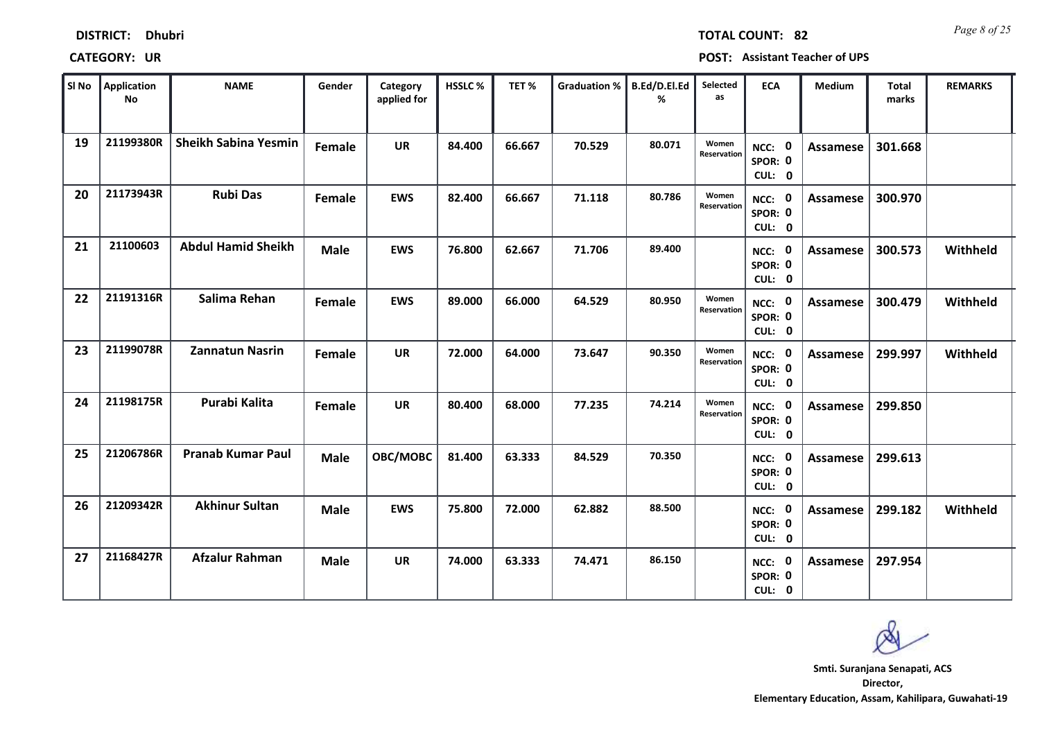| Sl No | Application<br>No | <b>NAME</b>                 | Gender      | Category<br>applied for | <b>HSSLC%</b> | TET%   | <b>Graduation %</b> | B.Ed/D.El.Ed<br>% | Selected<br>as       | <b>ECA</b>                               | Medium          | <b>Total</b><br>marks | <b>REMARKS</b> |
|-------|-------------------|-----------------------------|-------------|-------------------------|---------------|--------|---------------------|-------------------|----------------------|------------------------------------------|-----------------|-----------------------|----------------|
| 19    | 21199380R         | <b>Sheikh Sabina Yesmin</b> | Female      | <b>UR</b>               | 84.400        | 66.667 | 70.529              | 80.071            | Women<br>Reservation | $\mathbf 0$<br>NCC:<br>SPOR: 0<br>CUL: 0 | Assamese        | 301.668               |                |
| 20    | 21173943R         | <b>Rubi Das</b>             | Female      | <b>EWS</b>              | 82.400        | 66.667 | 71.118              | 80.786            | Women<br>Reservation | NCC: 0<br>SPOR: 0<br>CUL: 0              | Assamese        | 300.970               |                |
| 21    | 21100603          | <b>Abdul Hamid Sheikh</b>   | <b>Male</b> | <b>EWS</b>              | 76.800        | 62.667 | 71.706              | 89.400            |                      | $\mathbf 0$<br>NCC:<br>SPOR: 0<br>CUL: 0 | Assamese        | 300.573               | Withheld       |
| 22    | 21191316R         | Salima Rehan                | Female      | <b>EWS</b>              | 89.000        | 66.000 | 64.529              | 80.950            | Women<br>Reservation | 0<br>NCC:<br>SPOR: 0<br>CUL: 0           | Assamese        | 300.479               | Withheld       |
| 23    | 21199078R         | Zannatun Nasrin             | Female      | <b>UR</b>               | 72.000        | 64.000 | 73.647              | 90.350            | Women<br>Reservation | $\mathbf 0$<br>NCC:<br>SPOR: 0<br>CUL: 0 | <b>Assamese</b> | 299.997               | Withheld       |
| 24    | 21198175R         | Purabi Kalita               | Female      | <b>UR</b>               | 80.400        | 68.000 | 77.235              | 74.214            | Women<br>Reservation | $\mathbf 0$<br>NCC:<br>SPOR: 0<br>CUL: 0 | <b>Assamese</b> | 299.850               |                |
| 25    | 21206786R         | <b>Pranab Kumar Paul</b>    | <b>Male</b> | OBC/MOBC                | 81.400        | 63.333 | 84.529              | 70.350            |                      | $\mathbf 0$<br>NCC:<br>SPOR: 0<br>CUL: 0 | Assamese        | 299.613               |                |
| 26    | 21209342R         | <b>Akhinur Sultan</b>       | <b>Male</b> | <b>EWS</b>              | 75.800        | 72.000 | 62.882              | 88.500            |                      | $\mathbf 0$<br>NCC:<br>SPOR: 0<br>CUL: 0 | Assamese        | 299.182               | Withheld       |
| 27    | 21168427R         | <b>Afzalur Rahman</b>       | <b>Male</b> | <b>UR</b>               | 74.000        | 63.333 | 74.471              | 86.150            |                      | 0<br>NCC:<br>SPOR: 0<br>CUL: 0           | Assamese        | 297.954               |                |

### **CATEGORY: UR POST: Assistant Teacher of UPS**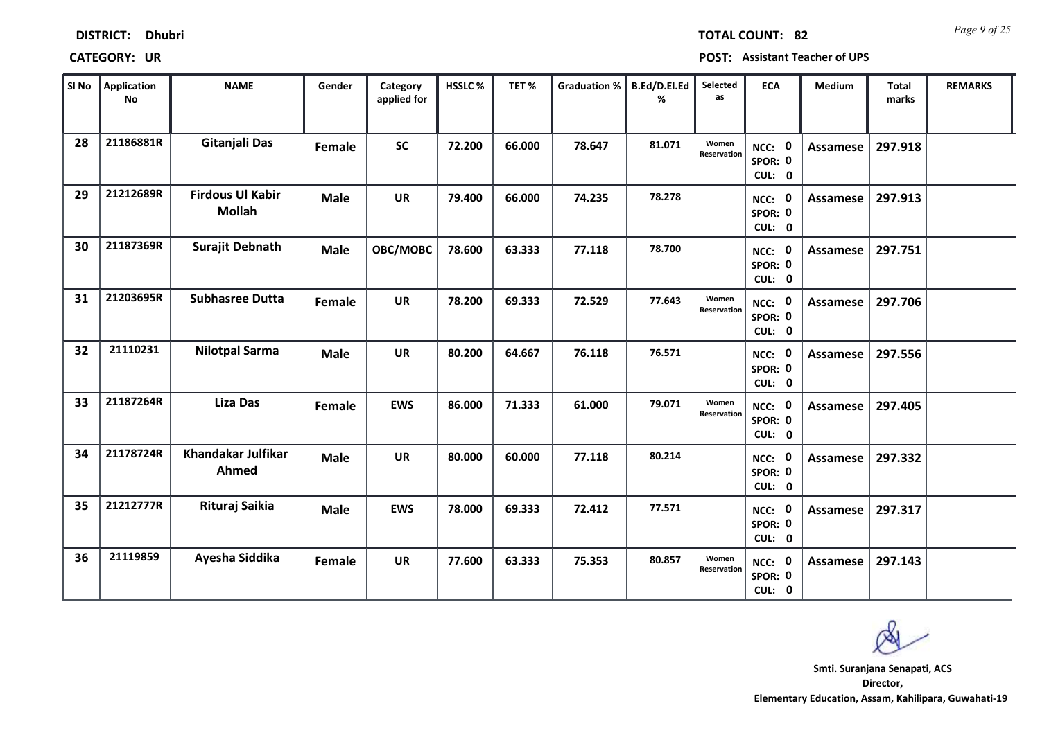| Sl No | <b>Application</b><br>No | <b>NAME</b>                              | Gender      | Category<br>applied for | <b>HSSLC%</b> | TET%   | <b>Graduation %</b> | B.Ed/D.El.Ed<br>% | Selected<br>as       | <b>ECA</b>                     | Medium          | <b>Total</b><br>marks | <b>REMARKS</b> |
|-------|--------------------------|------------------------------------------|-------------|-------------------------|---------------|--------|---------------------|-------------------|----------------------|--------------------------------|-----------------|-----------------------|----------------|
| 28    | 21186881R                | Gitanjali Das                            | Female      | <b>SC</b>               | 72.200        | 66.000 | 78.647              | 81.071            | Women<br>Reservation | NCC: 0<br>SPOR: 0<br>CUL: 0    | <b>Assamese</b> | 297.918               |                |
| 29    | 21212689R                | <b>Firdous Ul Kabir</b><br><b>Mollah</b> | <b>Male</b> | <b>UR</b>               | 79.400        | 66.000 | 74.235              | 78.278            |                      | NCC: 0<br>SPOR: 0<br>CUL: 0    | Assamese        | 297.913               |                |
| 30    | 21187369R                | <b>Surajit Debnath</b>                   | <b>Male</b> | OBC/MOBC                | 78.600        | 63.333 | 77.118              | 78.700            |                      | NCC: 0<br>SPOR: 0<br>CUL: 0    | Assamese        | 297.751               |                |
| 31    | 21203695R                | <b>Subhasree Dutta</b>                   | Female      | <b>UR</b>               | 78.200        | 69.333 | 72.529              | 77.643            | Women<br>Reservation | 0<br>NCC:<br>SPOR: 0<br>CUL: 0 | Assamese        | 297.706               |                |
| 32    | 21110231                 | <b>Nilotpal Sarma</b>                    | <b>Male</b> | <b>UR</b>               | 80.200        | 64.667 | 76.118              | 76.571            |                      | NCC: 0<br>SPOR: 0<br>CUL: 0    | Assamese        | 297.556               |                |
| 33    | 21187264R                | <b>Liza Das</b>                          | Female      | <b>EWS</b>              | 86.000        | 71.333 | 61.000              | 79.071            | Women<br>Reservation | NCC: 0<br>SPOR: 0<br>CUL: 0    | <b>Assamese</b> | 297.405               |                |
| 34    | 21178724R                | <b>Khandakar Julfikar</b><br>Ahmed       | <b>Male</b> | <b>UR</b>               | 80.000        | 60.000 | 77.118              | 80.214            |                      | NCC: 0<br>SPOR: 0<br>CUL: 0    | Assamese        | 297.332               |                |
| 35    | 21212777R                | Rituraj Saikia                           | <b>Male</b> | <b>EWS</b>              | 78.000        | 69.333 | 72.412              | 77.571            |                      | NCC: 0<br>SPOR: 0<br>CUL: 0    | Assamese        | 297.317               |                |
| 36    | 21119859                 | Ayesha Siddika                           | Female      | <b>UR</b>               | 77.600        | 63.333 | 75.353              | 80.857            | Women<br>Reservation | 0<br>NCC:<br>SPOR: 0<br>CUL: 0 | <b>Assamese</b> | 297.143               |                |

**Director, Elementary Education, Assam, Kahilipara, Guwahati-19 Smti. Suranjana Senapati, ACS**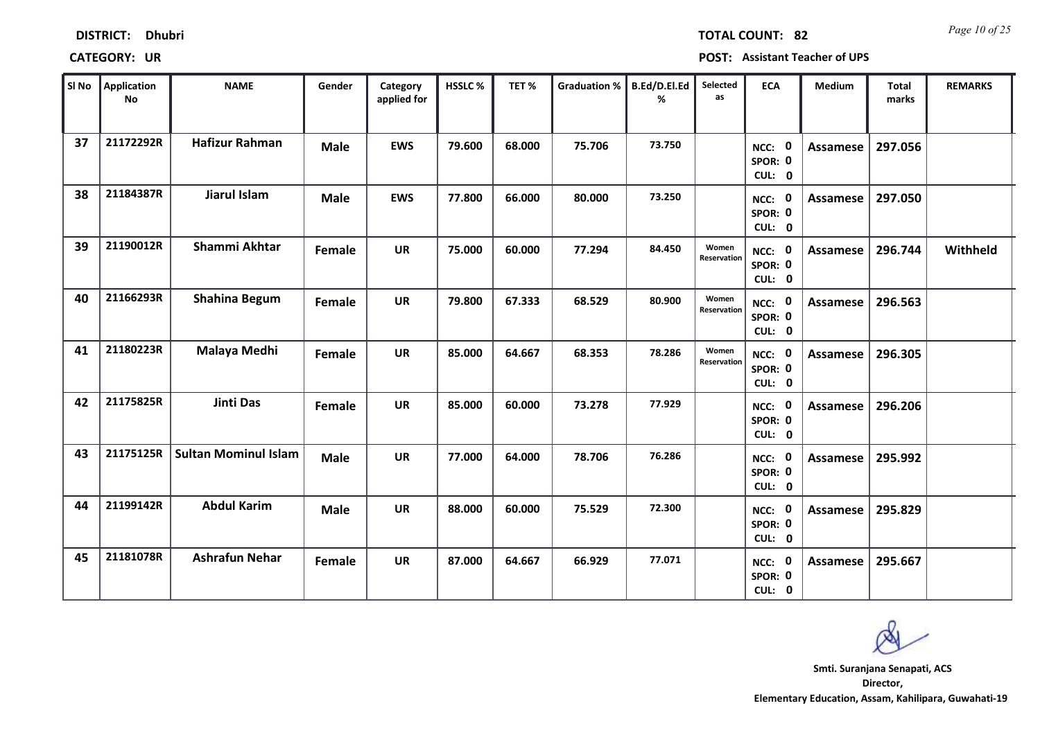| SI No | <b>Application</b><br><b>No</b> | <b>NAME</b>                 | Gender      | Category<br>applied for | <b>HSSLC%</b> | TET%   | <b>Graduation %</b> | B.Ed/D.El.Ed<br>% | Selected<br>as       | <b>ECA</b>                         | Medium          | Total<br>marks | <b>REMARKS</b> |
|-------|---------------------------------|-----------------------------|-------------|-------------------------|---------------|--------|---------------------|-------------------|----------------------|------------------------------------|-----------------|----------------|----------------|
| 37    | 21172292R                       | <b>Hafizur Rahman</b>       | <b>Male</b> | <b>EWS</b>              | 79.600        | 68.000 | 75.706              | 73.750            |                      | NCC: 0<br>SPOR: 0<br>CUL: 0        | Assamese        | 297.056        |                |
| 38    | 21184387R                       | Jiarul Islam                | <b>Male</b> | <b>EWS</b>              | 77.800        | 66.000 | 80.000              | 73.250            |                      | NCC: 0<br>SPOR: 0<br>CUL: 0        | Assamese        | 297.050        |                |
| 39    | 21190012R                       | Shammi Akhtar               | Female      | <b>UR</b>               | 75.000        | 60.000 | 77.294              | 84.450            | Women<br>Reservation | NCC: 0<br>SPOR: 0<br>CUL: 0        | Assamese        | 296.744        | Withheld       |
| 40    | 21166293R                       | Shahina Begum               | Female      | <b>UR</b>               | 79.800        | 67.333 | 68.529              | 80.900            | Women<br>Reservation | NCC: 0<br>SPOR: 0<br>CUL: 0        | Assamese        | 296.563        |                |
| 41    | 21180223R                       | Malaya Medhi                | Female      | <b>UR</b>               | 85.000        | 64.667 | 68.353              | 78.286            | Women<br>Reservation | NCC: 0<br>SPOR: 0<br>CUL: 0        | Assamese        | 296.305        |                |
| 42    | 21175825R                       | <b>Jinti Das</b>            | Female      | <b>UR</b>               | 85.000        | 60.000 | 73.278              | 77.929            |                      | NCC: 0<br>SPOR: 0<br>CUL: 0        | Assamese        | 296.206        |                |
| 43    | 21175125R                       | <b>Sultan Mominul Islam</b> | <b>Male</b> | <b>UR</b>               | 77.000        | 64.000 | 78.706              | 76.286            |                      | NCC: 0<br>SPOR: 0<br>CUL: 0        | Assamese        | 295.992        |                |
| 44    | 21199142R                       | <b>Abdul Karim</b>          | <b>Male</b> | <b>UR</b>               | 88.000        | 60.000 | 75.529              | 72.300            |                      | <b>NCC: 0</b><br>SPOR: 0<br>CUL: 0 | <b>Assamese</b> | 295.829        |                |
| 45    | 21181078R                       | <b>Ashrafun Nehar</b>       | Female      | <b>UR</b>               | 87.000        | 64.667 | 66.929              | 77.071            |                      | 0<br>NCC:<br>SPOR: 0<br>CUL: 0     | <b>Assamese</b> | 295.667        |                |

**Director, Elementary Education, Assam, Kahilipara, Guwahati-19 Smti. Suranjana Senapati, ACS**

**DISTRICT: Dhubri**

**CATEGORY: UR POST: Assistant Teacher of UPS**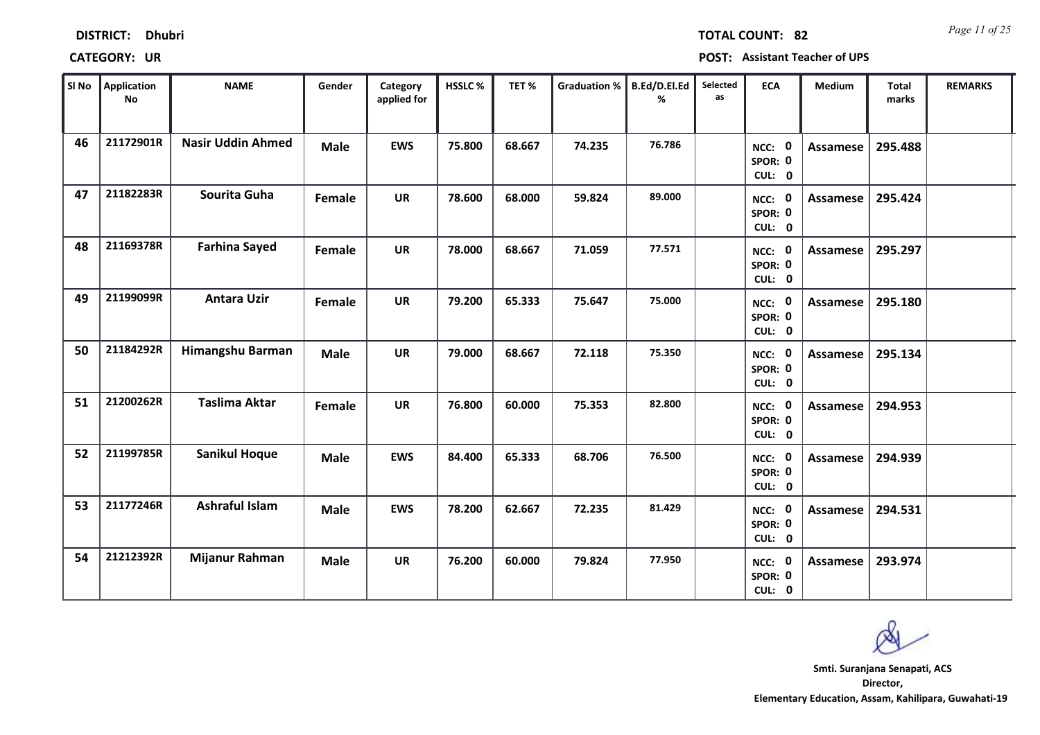| Sl No | <b>Application</b><br><b>No</b> | <b>NAME</b>              | Gender      | Category<br>applied for | HSSLC% | TET%   | <b>Graduation %</b> | B.Ed/D.El.Ed<br>% | Selected<br>as | <b>ECA</b>                         | Medium          | Total<br>marks | <b>REMARKS</b> |
|-------|---------------------------------|--------------------------|-------------|-------------------------|--------|--------|---------------------|-------------------|----------------|------------------------------------|-----------------|----------------|----------------|
| 46    | 21172901R                       | <b>Nasir Uddin Ahmed</b> | <b>Male</b> | <b>EWS</b>              | 75.800 | 68.667 | 74.235              | 76.786            |                | NCC: 0<br>SPOR: 0<br>CUL: 0        | <b>Assamese</b> | 295.488        |                |
| 47    | 21182283R                       | Sourita Guha             | Female      | <b>UR</b>               | 78.600 | 68.000 | 59.824              | 89.000            |                | NCC: 0<br>SPOR: 0<br>CUL: 0        | Assamese        | 295.424        |                |
| 48    | 21169378R                       | <b>Farhina Sayed</b>     | Female      | <b>UR</b>               | 78.000 | 68.667 | 71.059              | 77.571            |                | NCC: 0<br>SPOR: 0<br>CUL: 0        | Assamese        | 295.297        |                |
| 49    | 21199099R                       | <b>Antara Uzir</b>       | Female      | <b>UR</b>               | 79.200 | 65.333 | 75.647              | 75.000            |                | NCC: 0<br>SPOR: 0<br>CUL: 0        | <b>Assamese</b> | 295.180        |                |
| 50    | 21184292R                       | Himangshu Barman         | <b>Male</b> | <b>UR</b>               | 79.000 | 68.667 | 72.118              | 75.350            |                | NCC: 0<br>SPOR: 0<br>CUL: 0        | Assamese        | 295.134        |                |
| 51    | 21200262R                       | <b>Taslima Aktar</b>     | Female      | <b>UR</b>               | 76.800 | 60.000 | 75.353              | 82.800            |                | NCC: 0<br>SPOR: 0<br>CUL: 0        | Assamese        | 294.953        |                |
| 52    | 21199785R                       | <b>Sanikul Hoque</b>     | <b>Male</b> | <b>EWS</b>              | 84.400 | 65.333 | 68.706              | 76.500            |                | NCC: 0<br>SPOR: 0<br>CUL: 0        | Assamese        | 294.939        |                |
| 53    | 21177246R                       | Ashraful Islam           | <b>Male</b> | <b>EWS</b>              | 78.200 | 62.667 | 72.235              | 81.429            |                | <b>NCC: 0</b><br>SPOR: 0<br>CUL: 0 | Assamese        | 294.531        |                |
| 54    | 21212392R                       | Mijanur Rahman           | <b>Male</b> | <b>UR</b>               | 76.200 | 60.000 | 79.824              | 77.950            |                | <b>NCC: 0</b><br>SPOR: 0<br>CUL: 0 | Assamese        | 293.974        |                |

**Director, Elementary Education, Assam, Kahilipara, Guwahati-19 Smti. Suranjana Senapati, ACS**

*Page 11 of 25* **TOTAL COUNT: 82**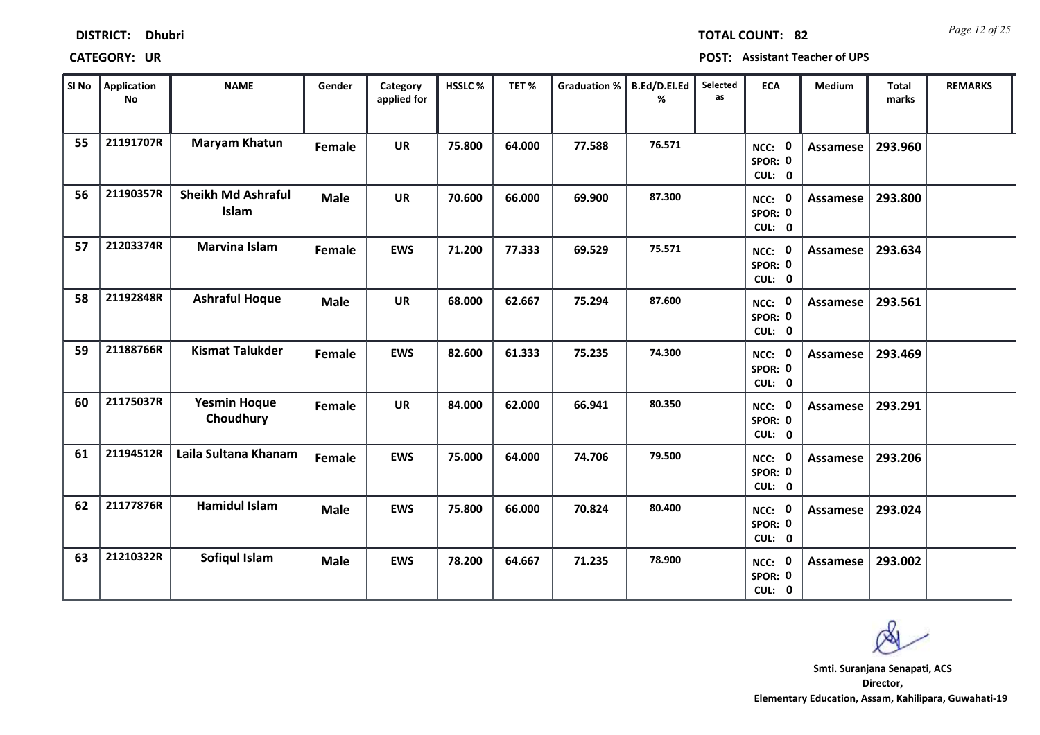| Sl No | Application<br><b>No</b> | <b>NAME</b>                        | Gender      | Category<br>applied for | HSSLC% | TET%   | Graduation %   B.Ed/D.El.Ed | %      | Selected<br>as | <b>ECA</b>                         | Medium          | <b>Total</b><br>marks | <b>REMARKS</b> |
|-------|--------------------------|------------------------------------|-------------|-------------------------|--------|--------|-----------------------------|--------|----------------|------------------------------------|-----------------|-----------------------|----------------|
| 55    | 21191707R                | <b>Maryam Khatun</b>               | Female      | <b>UR</b>               | 75.800 | 64.000 | 77.588                      | 76.571 |                | NCC: 0<br>SPOR: 0<br>CUL: 0        | Assamese        | 293.960               |                |
| 56    | 21190357R                | <b>Sheikh Md Ashraful</b><br>Islam | <b>Male</b> | <b>UR</b>               | 70.600 | 66.000 | 69.900                      | 87.300 |                | NCC: 0<br>SPOR: 0<br>CUL: 0        | Assamese        | 293.800               |                |
| 57    | 21203374R                | <b>Marvina Islam</b>               | Female      | <b>EWS</b>              | 71.200 | 77.333 | 69.529                      | 75.571 |                | NCC: 0<br>SPOR: 0<br>CUL: 0        | Assamese        | 293.634               |                |
| 58    | 21192848R                | <b>Ashraful Hoque</b>              | <b>Male</b> | <b>UR</b>               | 68.000 | 62.667 | 75.294                      | 87.600 |                | NCC: 0<br>SPOR: 0<br>CUL: 0        | <b>Assamese</b> | 293.561               |                |
| 59    | 21188766R                | <b>Kismat Talukder</b>             | Female      | <b>EWS</b>              | 82.600 | 61.333 | 75.235                      | 74.300 |                | NCC: 0<br>SPOR: 0<br>CUL: 0        | Assamese        | 293.469               |                |
| 60    | 21175037R                | <b>Yesmin Hoque</b><br>Choudhury   | Female      | <b>UR</b>               | 84.000 | 62.000 | 66.941                      | 80.350 |                | NCC: 0<br>SPOR: 0<br>CUL: 0        | Assamese        | 293.291               |                |
| 61    | 21194512R                | Laila Sultana Khanam               | Female      | <b>EWS</b>              | 75.000 | 64.000 | 74.706                      | 79.500 |                | NCC: 0<br>SPOR: 0<br>CUL: 0        | Assamese        | 293.206               |                |
| 62    | 21177876R                | <b>Hamidul Islam</b>               | <b>Male</b> | <b>EWS</b>              | 75.800 | 66.000 | 70.824                      | 80.400 |                | <b>NCC: 0</b><br>SPOR: 0<br>CUL: 0 | Assamese        | 293.024               |                |
| 63    | 21210322R                | Sofiqul Islam                      | <b>Male</b> | <b>EWS</b>              | 78.200 | 64.667 | 71.235                      | 78.900 |                | <b>NCC: 0</b><br>SPOR: 0<br>CUL: 0 | Assamese        | 293.002               |                |



**Director, Elementary Education, Assam, Kahilipara, Guwahati-19 Smti. Suranjana Senapati, ACS**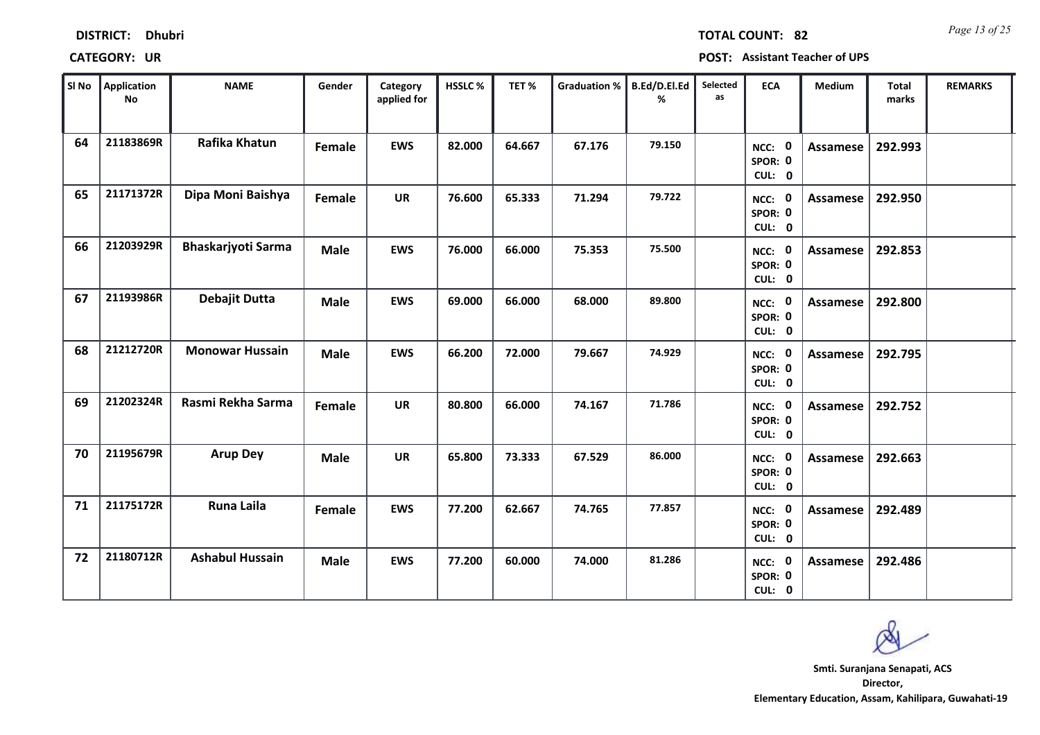| Sl No | <b>Application</b><br><b>No</b> | <b>NAME</b>               | Gender      | Category<br>applied for | HSSLC% | TET%   | <b>Graduation %</b> | B.Ed/D.El.Ed<br>% | Selected<br>as | <b>ECA</b>                         | Medium          | <b>Total</b><br>marks | <b>REMARKS</b> |
|-------|---------------------------------|---------------------------|-------------|-------------------------|--------|--------|---------------------|-------------------|----------------|------------------------------------|-----------------|-----------------------|----------------|
| 64    | 21183869R                       | Rafika Khatun             | Female      | <b>EWS</b>              | 82.000 | 64.667 | 67.176              | 79.150            |                | NCC: 0<br>SPOR: 0<br>CUL: 0        | <b>Assamese</b> | 292.993               |                |
| 65    | 21171372R                       | Dipa Moni Baishya         | Female      | <b>UR</b>               | 76.600 | 65.333 | 71.294              | 79.722            |                | NCC: 0<br>SPOR: 0<br>CUL: 0        | Assamese        | 292.950               |                |
| 66    | 21203929R                       | <b>Bhaskarjyoti Sarma</b> | <b>Male</b> | <b>EWS</b>              | 76.000 | 66.000 | 75.353              | 75.500            |                | NCC: 0<br>SPOR: 0<br>CUL: 0        | Assamese        | 292.853               |                |
| 67    | 21193986R                       | Debajit Dutta             | <b>Male</b> | <b>EWS</b>              | 69.000 | 66.000 | 68.000              | 89.800            |                | NCC: 0<br>SPOR: 0<br>CUL: 0        | Assamese        | 292.800               |                |
| 68    | 21212720R                       | <b>Monowar Hussain</b>    | <b>Male</b> | <b>EWS</b>              | 66.200 | 72.000 | 79.667              | 74.929            |                | NCC: 0<br>SPOR: 0<br>CUL: 0        | <b>Assamese</b> | 292.795               |                |
| 69    | 21202324R                       | Rasmi Rekha Sarma         | Female      | <b>UR</b>               | 80.800 | 66.000 | 74.167              | 71.786            |                | NCC: 0<br>SPOR: 0<br>CUL: 0        | Assamese        | 292.752               |                |
| 70    | 21195679R                       | <b>Arup Dey</b>           | <b>Male</b> | <b>UR</b>               | 65.800 | 73.333 | 67.529              | 86.000            |                | NCC: 0<br>SPOR: 0<br>CUL: 0        | Assamese        | 292.663               |                |
| 71    | 21175172R                       | <b>Runa Laila</b>         | Female      | <b>EWS</b>              | 77.200 | 62.667 | 74.765              | 77.857            |                | <b>NCC: 0</b><br>SPOR: 0<br>CUL: 0 | <b>Assamese</b> | 292.489               |                |
| 72    | 21180712R                       | <b>Ashabul Hussain</b>    | <b>Male</b> | <b>EWS</b>              | 77.200 | 60.000 | 74.000              | 81.286            |                | <b>NCC: 0</b><br>SPOR: 0<br>CUL: 0 | <b>Assamese</b> | 292.486               |                |

**DISTRICT: Dhubri**

*Page 13 of 25* **TOTAL COUNT: 82**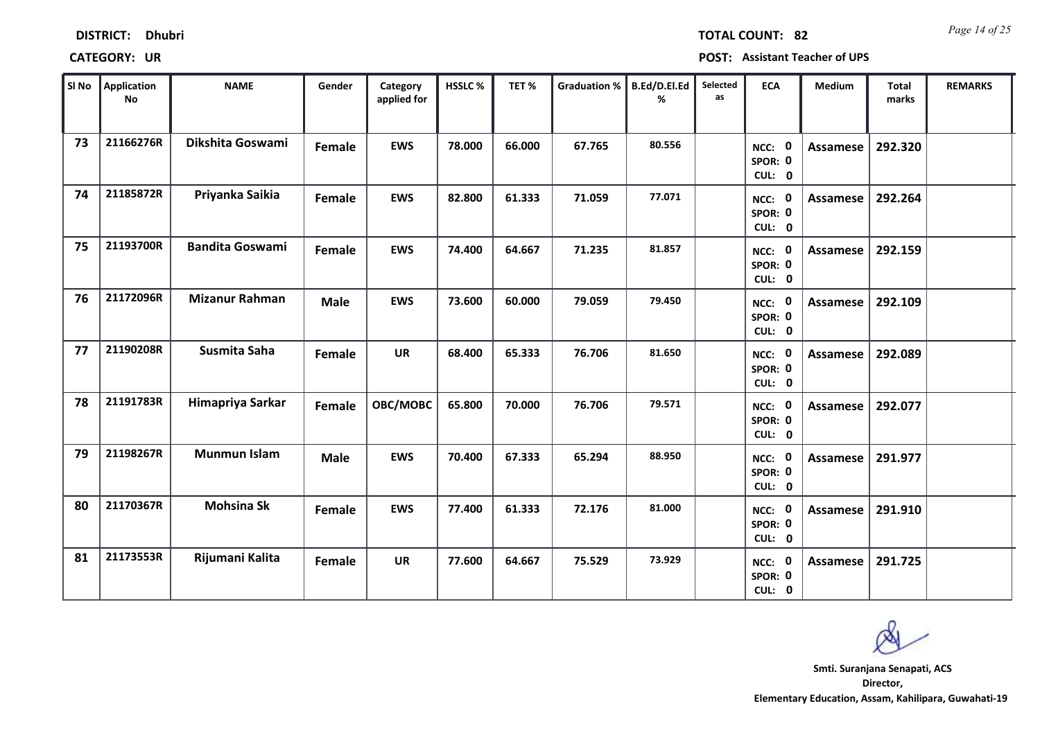| SI No | <b>Application</b><br><b>No</b> | <b>NAME</b>            | Gender      | Category<br>applied for | HSSLC% | TET%   | <b>Graduation %</b> | B.Ed/D.El.Ed<br>% | Selected<br>as | <b>ECA</b>                         | Medium          | Total<br>marks | <b>REMARKS</b> |
|-------|---------------------------------|------------------------|-------------|-------------------------|--------|--------|---------------------|-------------------|----------------|------------------------------------|-----------------|----------------|----------------|
| 73    | 21166276R                       | Dikshita Goswami       | Female      | <b>EWS</b>              | 78.000 | 66.000 | 67.765              | 80.556            |                | NCC: 0<br>SPOR: 0<br>CUL: 0        | Assamese        | 292.320        |                |
| 74    | 21185872R                       | Priyanka Saikia        | Female      | <b>EWS</b>              | 82.800 | 61.333 | 71.059              | 77.071            |                | NCC: 0<br>SPOR: 0<br>CUL: 0        | <b>Assamese</b> | 292.264        |                |
| 75    | 21193700R                       | <b>Bandita Goswami</b> | Female      | <b>EWS</b>              | 74.400 | 64.667 | 71.235              | 81.857            |                | NCC: 0<br>SPOR: 0<br>CUL: 0        | Assamese        | 292.159        |                |
| 76    | 21172096R                       | <b>Mizanur Rahman</b>  | <b>Male</b> | <b>EWS</b>              | 73.600 | 60.000 | 79.059              | 79.450            |                | NCC: 0<br>SPOR: 0<br>CUL: 0        | Assamese        | 292.109        |                |
| 77    | 21190208R                       | Susmita Saha           | Female      | <b>UR</b>               | 68.400 | 65.333 | 76.706              | 81.650            |                | NCC: 0<br>SPOR: 0<br>CUL: 0        | Assamese        | 292.089        |                |
| 78    | 21191783R                       | Himapriya Sarkar       | Female      | OBC/MOBC                | 65.800 | 70.000 | 76.706              | 79.571            |                | NCC: 0<br>SPOR: 0<br>CUL: 0        | Assamese        | 292.077        |                |
| 79    | 21198267R                       | <b>Munmun Islam</b>    | <b>Male</b> | <b>EWS</b>              | 70.400 | 67.333 | 65.294              | 88.950            |                | NCC: 0<br>SPOR: 0<br>CUL: 0        | Assamese        | 291.977        |                |
| 80    | 21170367R                       | <b>Mohsina Sk</b>      | Female      | <b>EWS</b>              | 77.400 | 61.333 | 72.176              | 81.000            |                | <b>NCC: 0</b><br>SPOR: 0<br>CUL: 0 | Assamese        | 291.910        |                |
| 81    | 21173553R                       | Rijumani Kalita        | Female      | <b>UR</b>               | 77.600 | 64.667 | 75.529              | 73.929            |                | NCC: 0<br>SPOR: 0<br>CUL: 0        | <b>Assamese</b> | 291.725        |                |

### **DISTRICT: Dhubri**

*Page 14 of 25* **TOTAL COUNT: 82**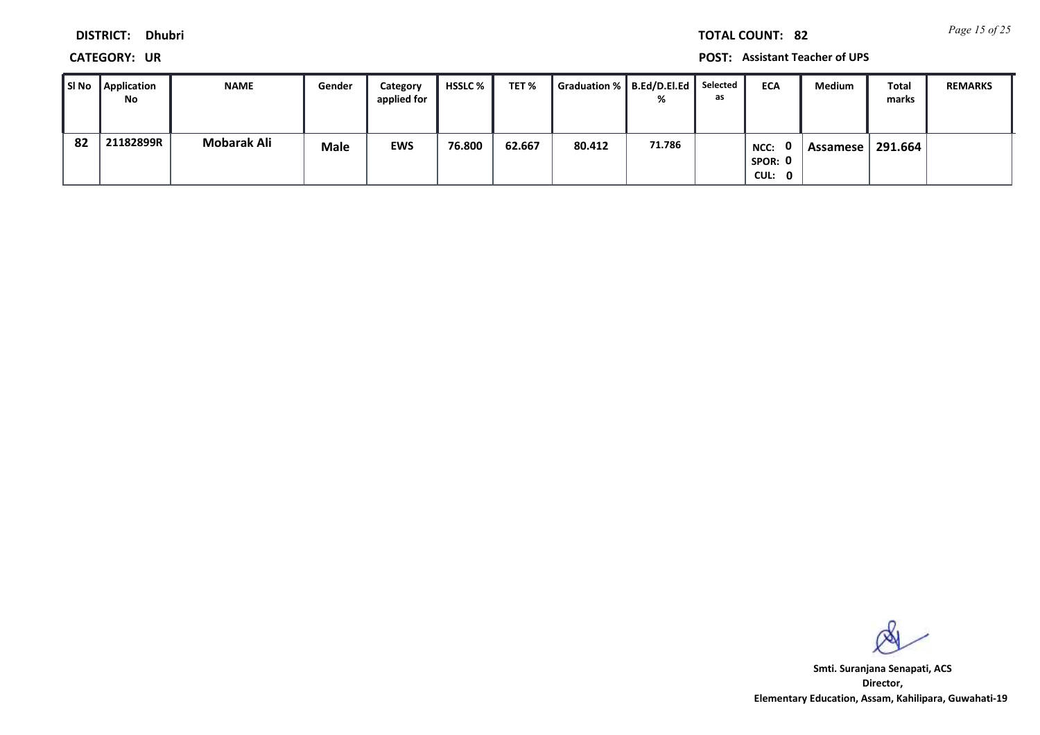*Page 15 of 25* **TOTAL COUNT: 82**

**DISTRICT: Dhubri**

**CATEGORY: UR POST: Assistant Teacher of UPS**

| SI No | <b>Application</b><br>No | <b>NAME</b>        | Gender | Category<br>applied for | <b>HSSLC</b> % | TET %  | Graduation %   B.Ed/D.El.Ed | %      | Selected<br>as | <b>ECA</b>                       | <b>Medium</b>   | Total<br>marks | <b>REMARKS</b> |
|-------|--------------------------|--------------------|--------|-------------------------|----------------|--------|-----------------------------|--------|----------------|----------------------------------|-----------------|----------------|----------------|
| 82    | 21182899R                | <b>Mobarak Ali</b> | Male   | <b>EWS</b>              | 76.800         | 62.667 | 80.412                      | 71.786 |                | . റ<br>NCC:<br>SPOR: 0<br>CUL: 0 | <b>Assamese</b> | 291.664        |                |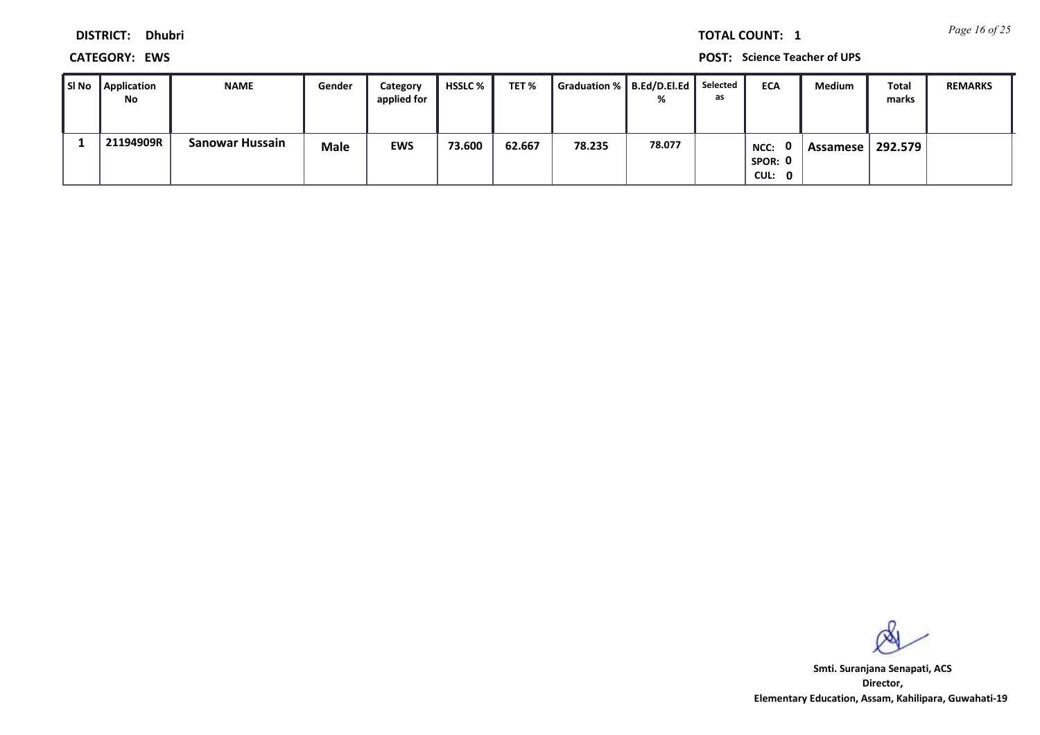*Page 16 of 25* **TOTAL COUNT: 1**

**DISTRICT: Dhubri**

**CATEGORY: EWS POST: Science Teacher of UPS**

| SI No Application<br>No | <b>NAME</b>            | Gender | Category<br>applied for | <b>HSSLC</b> % | TET %  | Graduation %   B.Ed/D.El.Ed   Selected | %      | as | <b>ECA</b>                       | Medium     | Total<br>marks | <b>REMARKS</b> |
|-------------------------|------------------------|--------|-------------------------|----------------|--------|----------------------------------------|--------|----|----------------------------------|------------|----------------|----------------|
| 21194909R               | <b>Sanowar Hussain</b> | Male   | <b>EWS</b>              | 73.600         | 62.667 | 78.235                                 | 78.077 |    | . വ<br>NCC:<br>SPOR: 0<br>CUL: 0 | Assamese l | 292.579        |                |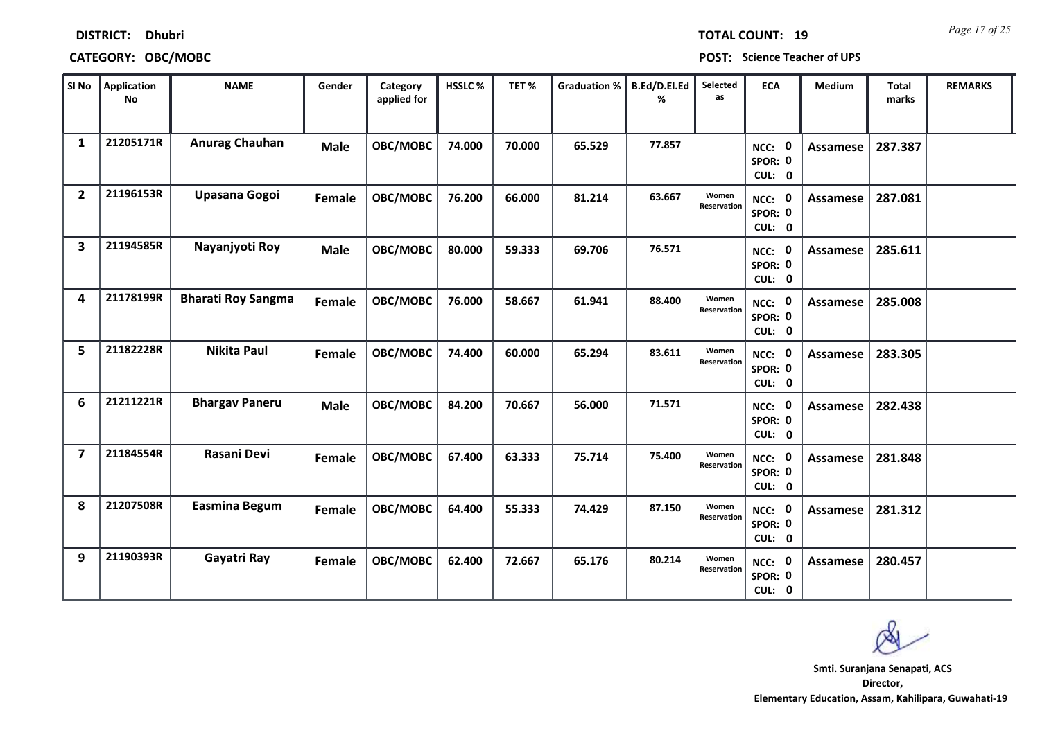| SI No          | Application<br><b>No</b> | <b>NAME</b>               | Gender      | Category<br>applied for | HSSLC% | TET%   | <b>Graduation %</b> | B.Ed/D.El.Ed<br>% | Selected<br>as       | <b>ECA</b>                         | Medium          | <b>Total</b><br>marks | <b>REMARKS</b> |
|----------------|--------------------------|---------------------------|-------------|-------------------------|--------|--------|---------------------|-------------------|----------------------|------------------------------------|-----------------|-----------------------|----------------|
| $\mathbf{1}$   | 21205171R                | Anurag Chauhan            | <b>Male</b> | OBC/MOBC                | 74.000 | 70.000 | 65.529              | 77.857            |                      | NCC: 0<br>SPOR: 0<br>CUL: 0        | <b>Assamese</b> | 287.387               |                |
| $\overline{2}$ | 21196153R                | Upasana Gogoi             | Female      | OBC/MOBC                | 76.200 | 66.000 | 81.214              | 63.667            | Women<br>Reservation | NCC: 0<br>SPOR: 0<br>CUL: 0        | <b>Assamese</b> | 287.081               |                |
| 3              | 21194585R                | Nayanjyoti Roy            | <b>Male</b> | OBC/MOBC                | 80.000 | 59.333 | 69.706              | 76.571            |                      | NCC: 0<br>SPOR: 0<br>CUL: 0        | <b>Assamese</b> | 285.611               |                |
| 4              | 21178199R                | <b>Bharati Roy Sangma</b> | Female      | OBC/MOBC                | 76.000 | 58.667 | 61.941              | 88.400            | Women<br>Reservation | NCC: 0<br>SPOR: 0<br>CUL: 0        | <b>Assamese</b> | 285.008               |                |
| 5              | 21182228R                | <b>Nikita Paul</b>        | Female      | OBC/MOBC                | 74.400 | 60.000 | 65.294              | 83.611            | Women<br>Reservation | NCC: 0<br>SPOR: 0<br>CUL: 0        | <b>Assamese</b> | 283.305               |                |
| 6              | 21211221R                | <b>Bhargav Paneru</b>     | <b>Male</b> | OBC/MOBC                | 84.200 | 70.667 | 56.000              | 71.571            |                      | NCC: 0<br>SPOR: 0<br>CUL: 0        | <b>Assamese</b> | 282.438               |                |
| $\overline{ }$ | 21184554R                | Rasani Devi               | Female      | OBC/MOBC                | 67.400 | 63.333 | 75.714              | 75.400            | Women<br>Reservation | NCC: 0<br>SPOR: 0<br>CUL: 0        | <b>Assamese</b> | 281.848               |                |
| 8              | 21207508R                | <b>Easmina Begum</b>      | Female      | OBC/MOBC                | 64.400 | 55.333 | 74.429              | 87.150            | Women<br>Reservation | <b>NCC: 0</b><br>SPOR: 0<br>CUL: 0 | <b>Assamese</b> | 281.312               |                |
| 9              | 21190393R                | Gayatri Ray               | Female      | OBC/MOBC                | 62.400 | 72.667 | 65.176              | 80.214            | Women<br>Reservation | NCC: 0<br>SPOR: 0<br>CUL: 0        | Assamese        | 280.457               |                |

### **CATEGORY: OBC/MOBC POST: Science Teacher of UPS**

*Page 17 of 25* **TOTAL COUNT: 19**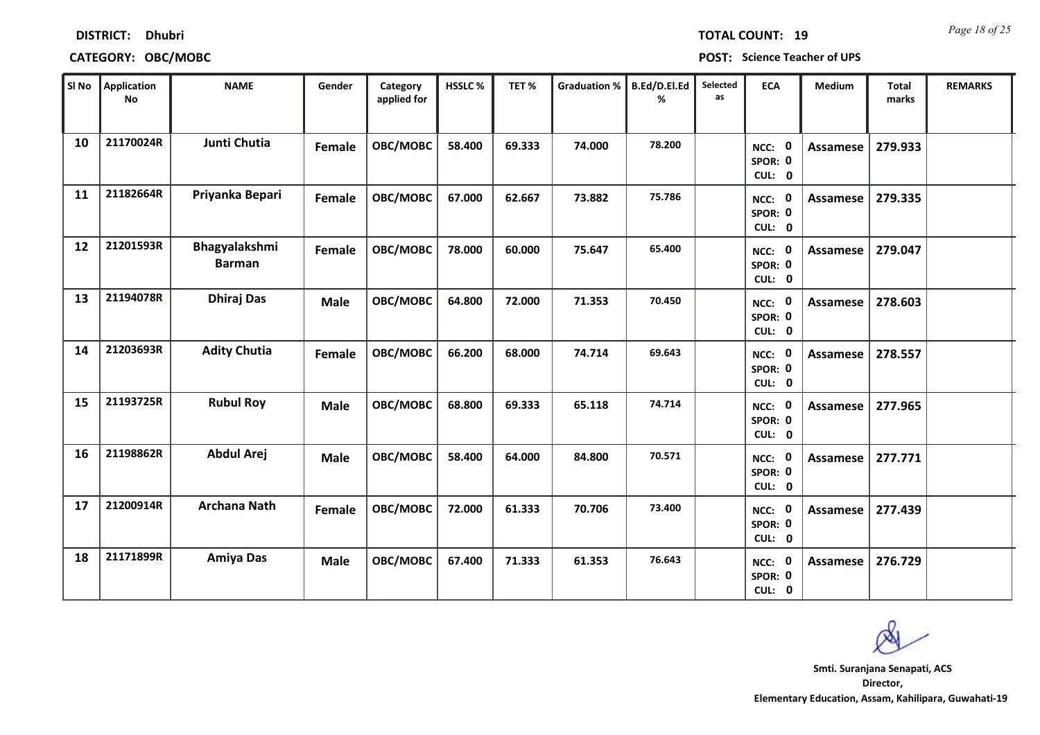| SI No | Application<br><b>No</b> | <b>NAME</b>                           | Gender      | Category<br>applied for | HSSLC% | TET%   | <b>Graduation %</b> | B.Ed/D.El.Ed<br>% | Selected<br><b>as</b> | <b>ECA</b>                         | Medium          | <b>Total</b><br>marks | <b>REMARKS</b> |
|-------|--------------------------|---------------------------------------|-------------|-------------------------|--------|--------|---------------------|-------------------|-----------------------|------------------------------------|-----------------|-----------------------|----------------|
| 10    | 21170024R                | Junti Chutia                          | Female      | OBC/MOBC                | 58.400 | 69.333 | 74.000              | 78.200            |                       | NCC: 0<br>SPOR: 0<br>CUL: 0        | <b>Assamese</b> | 279.933               |                |
| 11    | 21182664R                | Priyanka Bepari                       | Female      | OBC/MOBC                | 67.000 | 62.667 | 73.882              | 75.786            |                       | NCC: 0<br>SPOR: 0<br>CUL: 0        | <b>Assamese</b> | 279.335               |                |
| 12    | 21201593R                | <b>Bhagyalakshmi</b><br><b>Barman</b> | Female      | OBC/MOBC                | 78.000 | 60.000 | 75.647              | 65.400            |                       | NCC: 0<br>SPOR: 0<br>CUL: 0        | Assamese        | 279.047               |                |
| 13    | 21194078R                | <b>Dhiraj Das</b>                     | <b>Male</b> | OBC/MOBC                | 64.800 | 72.000 | 71.353              | 70.450            |                       | NCC: 0<br>SPOR: 0<br>CUL: 0        | Assamese        | 278.603               |                |
| 14    | 21203693R                | <b>Adity Chutia</b>                   | Female      | OBC/MOBC                | 66.200 | 68.000 | 74.714              | 69.643            |                       | NCC: 0<br>SPOR: 0<br>CUL: 0        | Assamese        | 278.557               |                |
| 15    | 21193725R                | <b>Rubul Roy</b>                      | <b>Male</b> | OBC/MOBC                | 68.800 | 69.333 | 65.118              | 74.714            |                       | NCC: 0<br>SPOR: 0<br>CUL: 0        | <b>Assamese</b> | 277.965               |                |
| 16    | 21198862R                | <b>Abdul Arej</b>                     | <b>Male</b> | OBC/MOBC                | 58.400 | 64.000 | 84.800              | 70.571            |                       | NCC: 0<br>SPOR: 0<br>CUL: 0        | <b>Assamese</b> | 277.771               |                |
| 17    | 21200914R                | <b>Archana Nath</b>                   | Female      | OBC/MOBC                | 72.000 | 61.333 | 70.706              | 73,400            |                       | <b>NCC: 0</b><br>SPOR: 0<br>CUL: 0 | <b>Assamese</b> | 277.439               |                |
| 18    | 21171899R                | Amiya Das                             | <b>Male</b> | OBC/MOBC                | 67.400 | 71.333 | 61.353              | 76.643            |                       | <b>NCC: 0</b><br>SPOR: 0<br>CUL: 0 | Assamese        | 276.729               |                |

### **CATEGORY: OBC/MOBC POST: Science Teacher of UPS**

**Director, Elementary Education, Assam, Kahilipara, Guwahati-19 Smti. Suranjana Senapati, ACS**

*Page 18 of 25* **TOTAL COUNT: 19**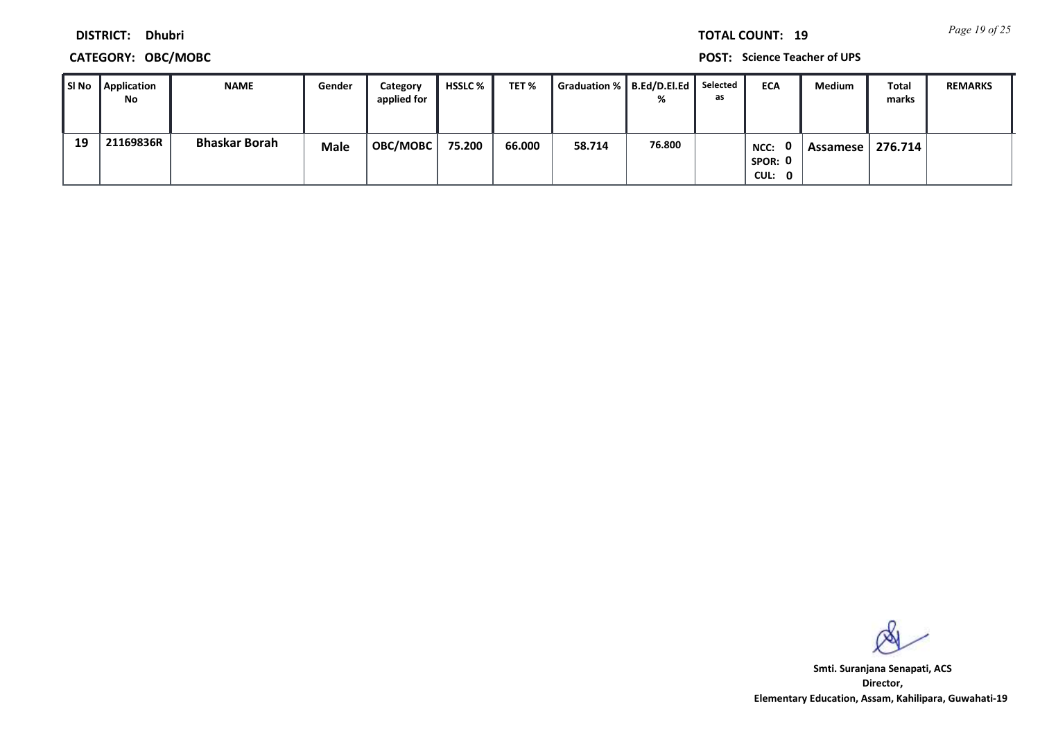*Page 19 of 25* **TOTAL COUNT: 19**

**DISTRICT: Dhubri**

### **CATEGORY: OBC/MOBC POST: Science Teacher of UPS**

| SI No | <b>Application</b><br>No | <b>NAME</b>          | Gender | Category<br>applied for | <b>HSSLC</b> % | TET %  | Graduation %    B.Ed/D.El.Ed | %      | Selected<br>as | <b>ECA</b>                       | <b>Medium</b> | Total<br>marks | <b>REMARKS</b> |
|-------|--------------------------|----------------------|--------|-------------------------|----------------|--------|------------------------------|--------|----------------|----------------------------------|---------------|----------------|----------------|
| 19    | 21169836R                | <b>Bhaskar Borah</b> | Male   | <b>OBC/MOBC</b>         | 75.200         | 66.000 | 58.714                       | 76.800 |                | . വ<br>NCC:<br>SPOR: 0<br>CUL: 0 | Assamese I    | 276.714        |                |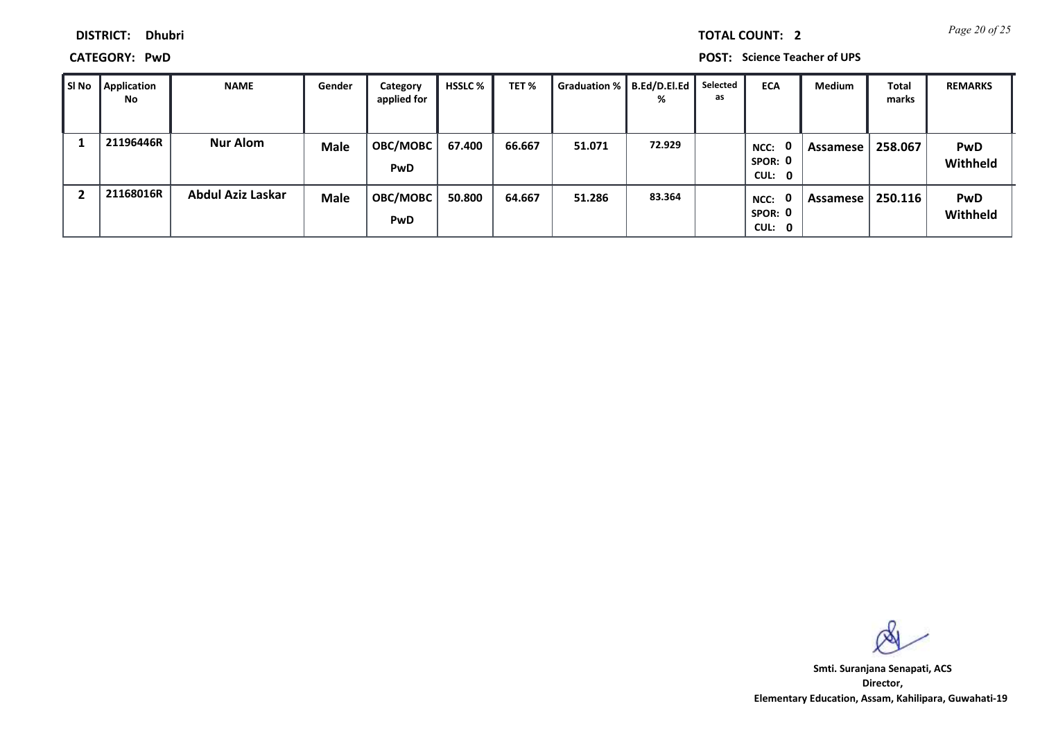|  | <b>TOTAL COUNT:</b> |  |
|--|---------------------|--|
|  |                     |  |
|  |                     |  |
|  |                     |  |

**CATEGORY: PwD POST: Science Teacher of UPS**

| SI No | <b>Application</b><br>No | <b>NAME</b>       | Gender      | Category<br>applied for | <b>HSSLC</b> % | TET %  | <b>Graduation %</b> | B.Ed/D.El.Ed<br>% | Selected<br>as | <b>ECA</b>                                | Medium   | <b>Total</b><br>marks | <b>REMARKS</b>         |
|-------|--------------------------|-------------------|-------------|-------------------------|----------------|--------|---------------------|-------------------|----------------|-------------------------------------------|----------|-----------------------|------------------------|
|       | 21196446R                | <b>Nur Alom</b>   | <b>Male</b> | <b>OBC/MOBC</b><br>PwD  | 67.400         | 66.667 | 51.071              | 72.929            |                | $\mathbf{0}$<br>NCC:<br>SPOR: 0<br>CUL: 0 | Assamese | 258.067               | <b>PwD</b><br>Withheld |
|       | 21168016R                | Abdul Aziz Laskar | <b>Male</b> | <b>OBC/MOBC</b><br>PwD  | 50.800         | 64.667 | 51.286              | 83.364            |                | $\mathbf{0}$<br>NCC:<br>SPOR: 0<br>CUL: 0 | Assamese | 250.116               | <b>PwD</b><br>Withheld |

**Director, Elementary Education, Assam, Kahilipara, Guwahati-19 Smti. Suranjana Senapati, ACS**

**2** *Page 20 of 25*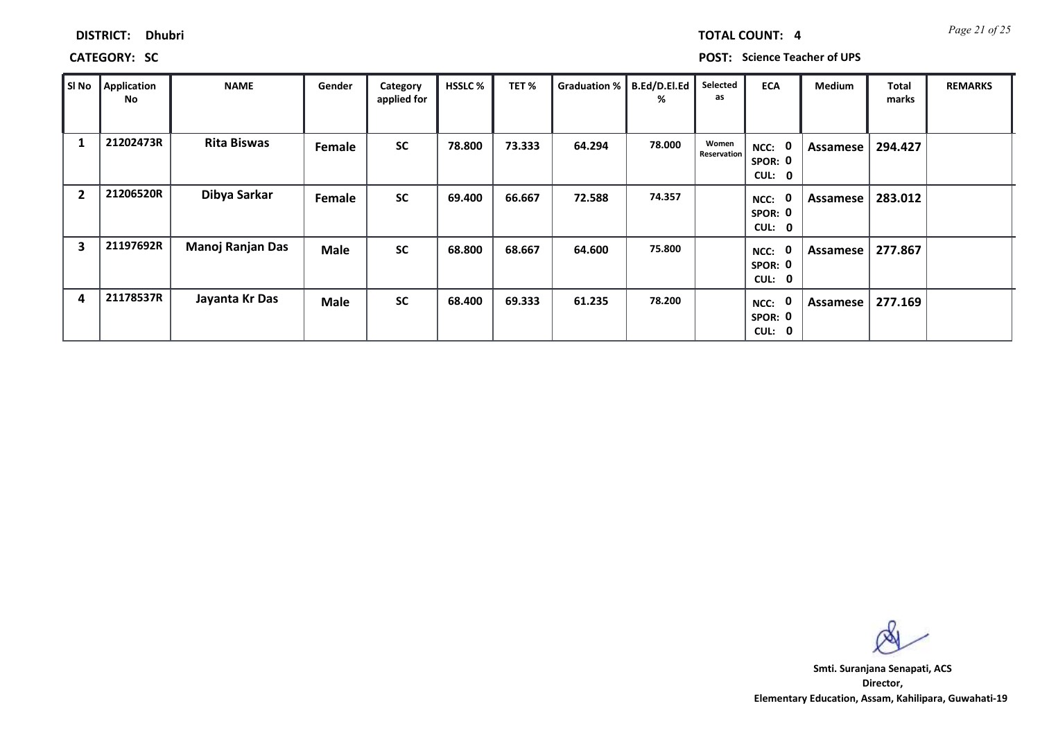| <b>DISTRICT:</b> | <b>Dhubri</b> |
|------------------|---------------|
|                  |               |

*Page 21 of 25* **TOTAL COUNT: 4**

**CATEGORY: SC POST: Science Teacher of UPS**

| SI No                   | Application<br>No | <b>NAME</b>        | Gender      | Category<br>applied for | <b>HSSLC %</b> | TET%   | Graduation % | B.Ed/D.El.Ed<br>% | Selected<br>as              | <b>ECA</b>                               | <b>Medium</b> | <b>Total</b><br>marks | <b>REMARKS</b> |
|-------------------------|-------------------|--------------------|-------------|-------------------------|----------------|--------|--------------|-------------------|-----------------------------|------------------------------------------|---------------|-----------------------|----------------|
| 1                       | 21202473R         | <b>Rita Biswas</b> | Female      | <b>SC</b>               | 78.800         | 73.333 | 64.294       | 78.000            | Women<br><b>Reservation</b> | $\mathbf 0$<br>NCC:<br>SPOR: 0<br>CUL: 0 | Assamese      | 294.427               |                |
| $\overline{2}$          | 21206520R         | Dibya Sarkar       | Female      | <b>SC</b>               | 69.400         | 66.667 | 72.588       | 74.357            |                             | 0<br>NCC:<br>SPOR: 0<br>CUL: 0           | Assamese      | 283.012               |                |
| $\overline{\mathbf{3}}$ | 21197692R         | Manoj Ranjan Das   | <b>Male</b> | <b>SC</b>               | 68.800         | 68.667 | 64.600       | 75.800            |                             | NCC: 0<br>SPOR: 0<br>CUL: 0              | Assamese      | 277.867               |                |
| 4                       | 21178537R         | Jayanta Kr Das     | Male        | <b>SC</b>               | 68.400         | 69.333 | 61.235       | 78.200            |                             | 0<br>NCC:<br>SPOR: 0<br>CUL: 0           | Assamese      | 277.169               |                |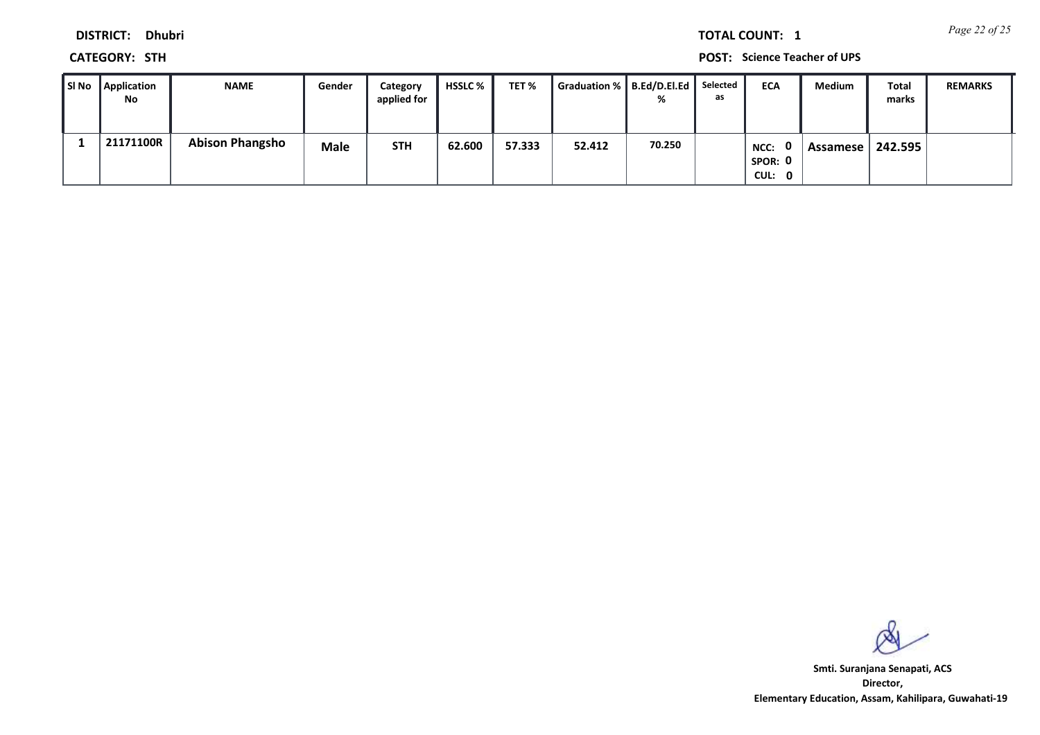*Page 22 of 25* **TOTAL COUNT: 1**

**DISTRICT: Dhubri**

**CATEGORY: STH POST: Science Teacher of UPS**

| SI No | Application<br>No | <b>NAME</b>            | Gender      | Category<br>applied for | HSSLC % | TET %  | Graduation %   B.Ed/D.El.Ed |        | Selected<br>as | <b>ECA</b>                       | Medium     | Total<br>marks | <b>REMARKS</b> |
|-------|-------------------|------------------------|-------------|-------------------------|---------|--------|-----------------------------|--------|----------------|----------------------------------|------------|----------------|----------------|
|       | 21171100R         | <b>Abison Phangsho</b> | <b>Male</b> | <b>STH</b>              | 62.600  | 57.333 | 52.412                      | 70.250 |                | . വ<br>NCC:<br>SPOR: 0<br>CUL: 0 | Assamese I | 242.595        |                |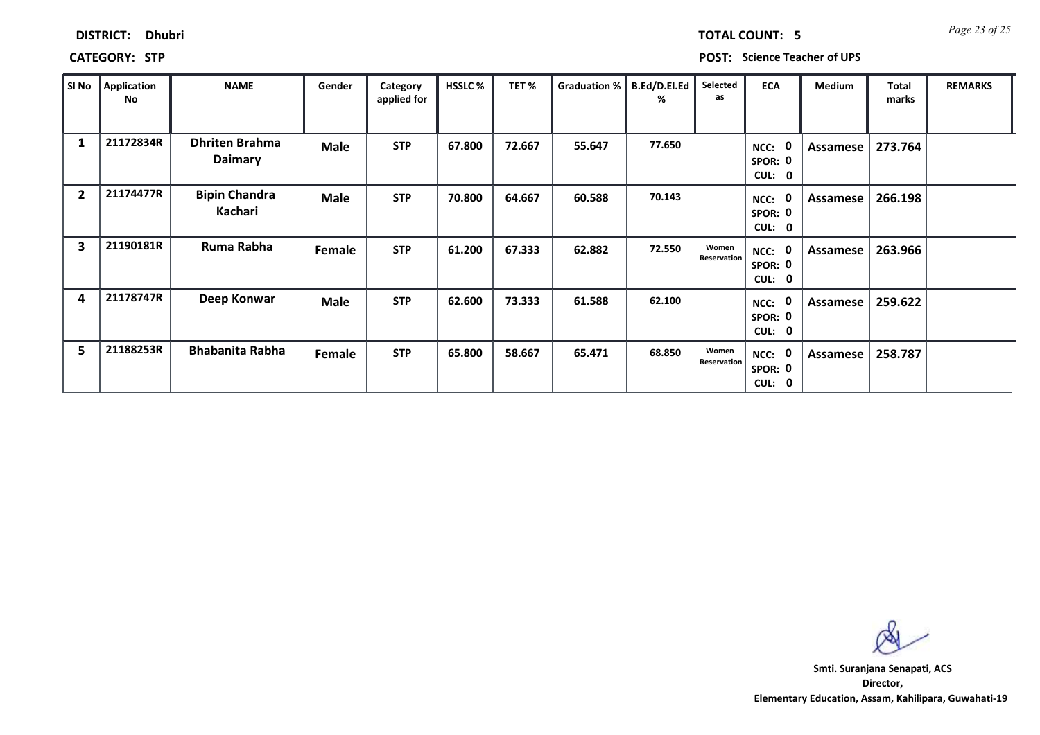| <b>DISTRICT:</b> | <b>Dhubri</b> |
|------------------|---------------|
|------------------|---------------|

*Page 23 of 25* **TOTAL COUNT: 5**

**CATEGORY: STP POST: Science Teacher of UPS**

| SI No                   | Application<br>No | <b>NAME</b>                      | Gender      | Category<br>applied for | <b>HSSLC %</b> | TET%   | <b>Graduation %</b> | B.Ed/D.El.Ed<br>℅ | Selected<br>as       | <b>ECA</b>                                                    | <b>Medium</b> | <b>Total</b><br>marks | <b>REMARKS</b> |
|-------------------------|-------------------|----------------------------------|-------------|-------------------------|----------------|--------|---------------------|-------------------|----------------------|---------------------------------------------------------------|---------------|-----------------------|----------------|
| 1                       | 21172834R         | <b>Dhriten Brahma</b><br>Daimary | <b>Male</b> | <b>STP</b>              | 67.800         | 72.667 | 55.647              | 77.650            |                      | $\mathbf{0}$<br>NCC:<br>SPOR: 0<br><b>CUL:</b><br>$\mathbf 0$ | Assamese      | 273.764               |                |
| $\overline{2}$          | 21174477R         | <b>Bipin Chandra</b><br>Kachari  | <b>Male</b> | <b>STP</b>              | 70.800         | 64.667 | 60.588              | 70.143            |                      | 0<br>NCC:<br>SPOR: 0<br><b>CUL:</b><br>$\mathbf 0$            | Assamese      | 266.198               |                |
| $\overline{\mathbf{3}}$ | 21190181R         | Ruma Rabha                       | Female      | <b>STP</b>              | 61.200         | 67.333 | 62.882              | 72.550            | Women<br>Reservation | NCC: 0<br>SPOR: 0<br><b>CUL:</b><br>$\mathbf{0}$              | Assamese      | 263.966               |                |
| 4                       | 21178747R         | Deep Konwar                      | <b>Male</b> | <b>STP</b>              | 62.600         | 73.333 | 61.588              | 62.100            |                      | $\mathbf{0}$<br>NCC:<br>SPOR: 0<br>CUL: 0                     | Assamese      | 259.622               |                |
| 5                       | 21188253R         | <b>Bhabanita Rabha</b>           | Female      | <b>STP</b>              | 65.800         | 58.667 | 65.471              | 68.850            | Women<br>Reservation | NCC: 0<br>SPOR: 0<br>CUL:<br>0                                | Assamese      | 258.787               |                |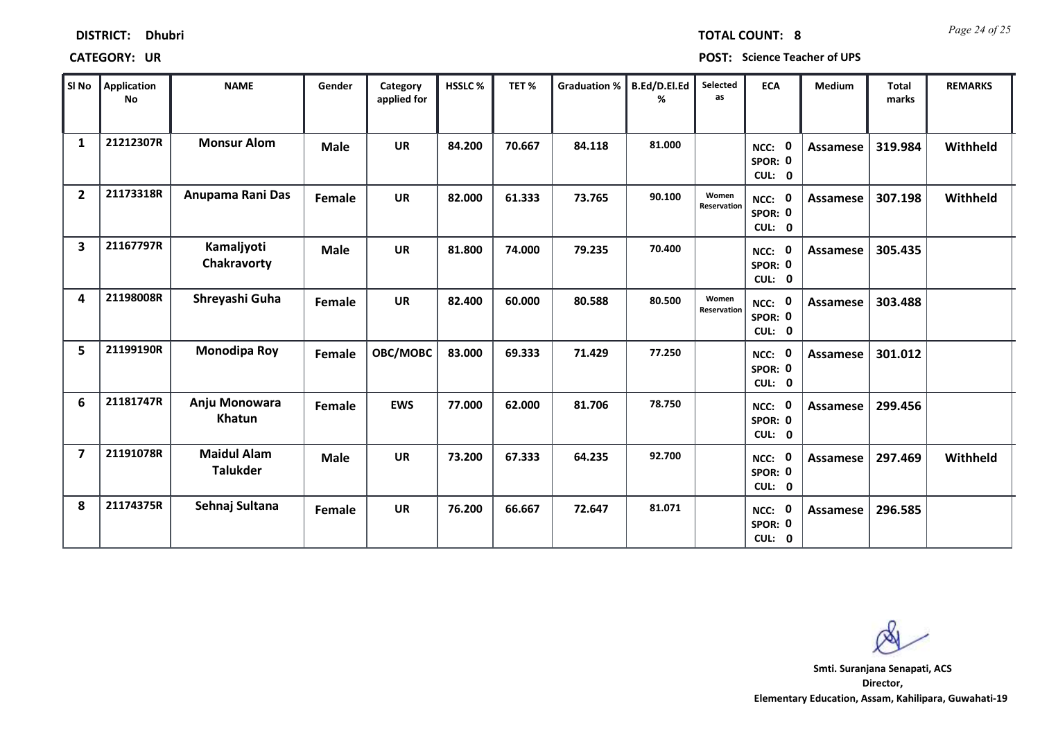| SI No          | Application<br>No | <b>NAME</b>                           | Gender      | Category<br>applied for | HSSLC % | TET %  | Graduation %   B.Ed/D.El.Ed | %      | Selected<br>as       | ECA                         | Medium          | <b>Total</b><br>marks | <b>REMARKS</b> |
|----------------|-------------------|---------------------------------------|-------------|-------------------------|---------|--------|-----------------------------|--------|----------------------|-----------------------------|-----------------|-----------------------|----------------|
| $\mathbf{1}$   | 21212307R         | <b>Monsur Alom</b>                    | <b>Male</b> | <b>UR</b>               | 84.200  | 70.667 | 84.118                      | 81.000 |                      | NCC: 0<br>SPOR: 0<br>CUL: 0 | <b>Assamese</b> | 319.984               | Withheld       |
| $\overline{2}$ | 21173318R         | Anupama Rani Das                      | Female      | <b>UR</b>               | 82.000  | 61.333 | 73.765                      | 90.100 | Women<br>Reservation | NCC: 0<br>SPOR: 0<br>CUL: 0 | Assamese        | 307.198               | Withheld       |
| 3              | 21167797R         | Kamaljyoti<br>Chakravorty             | Male        | <b>UR</b>               | 81.800  | 74.000 | 79.235                      | 70.400 |                      | NCC: 0<br>SPOR: 0<br>CUL: 0 | <b>Assamese</b> | 305.435               |                |
| 4              | 21198008R         | Shreyashi Guha                        | Female      | <b>UR</b>               | 82.400  | 60.000 | 80.588                      | 80.500 | Women<br>Reservation | NCC: 0<br>SPOR: 0<br>CUL: 0 | Assamese        | 303.488               |                |
| 5              | 21199190R         | <b>Monodipa Roy</b>                   | Female      | OBC/MOBC                | 83.000  | 69.333 | 71.429                      | 77.250 |                      | NCC: 0<br>SPOR: 0<br>CUL: 0 | Assamese        | 301.012               |                |
| 6              | 21181747R         | Anju Monowara<br>Khatun               | Female      | <b>EWS</b>              | 77.000  | 62.000 | 81.706                      | 78.750 |                      | NCC: 0<br>SPOR: 0<br>CUL: 0 | <b>Assamese</b> | 299.456               |                |
| $\overline{7}$ | 21191078R         | <b>Maidul Alam</b><br><b>Talukder</b> | <b>Male</b> | <b>UR</b>               | 73.200  | 67.333 | 64.235                      | 92.700 |                      | NCC: 0<br>SPOR: 0<br>CUL: 0 | <b>Assamese</b> | 297.469               | Withheld       |
| 8              | 21174375R         | Sehnaj Sultana                        | Female      | <b>UR</b>               | 76.200  | 66.667 | 72.647                      | 81.071 |                      | NCC: 0<br>SPOR: 0<br>CUL: 0 | Assamese        | 296.585               |                |

Т

т

**DISTRICT: Dhubri**

**CATEGORY: UR POST: Science Teacher of UPS**

**Director, Elementary Education, Assam, Kahilipara, Guwahati-19 Smti. Suranjana Senapati, ACS**

Т

*Page 24 of 25* **TOTAL COUNT: 8**